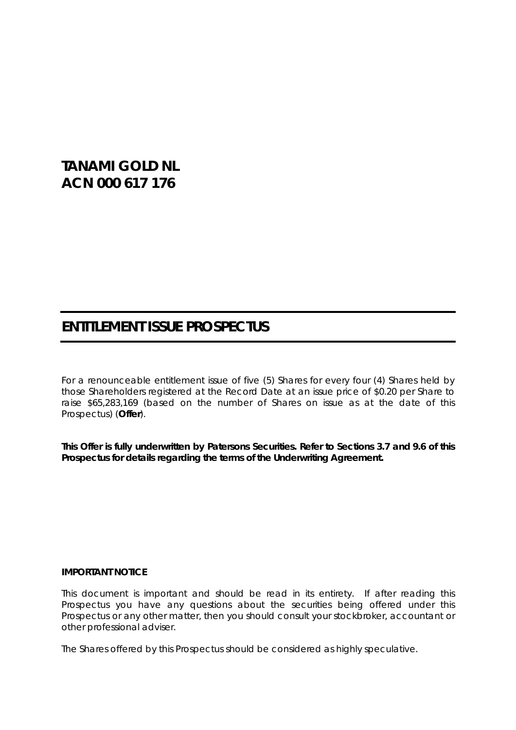# **TANAMI GOLD NL ACN 000 617 176**

# **ENTITLEMENT ISSUE PROSPECTUS**

For a renounceable entitlement issue of five (5) Shares for every four (4) Shares held by those Shareholders registered at the Record Date at an issue price of \$0.20 per Share to raise \$65,283,169 (based on the number of Shares on issue as at the date of this Prospectus) (**Offer**).

**This Offer is fully underwritten by Patersons Securities. Refer to Sections [3.7](#page-9-0) and [9.6](#page-39-0) of this Prospectus for details regarding the terms of the Underwriting Agreement.**

#### **IMPORTANT NOTICE**

This document is important and should be read in its entirety. If after reading this Prospectus you have any questions about the securities being offered under this Prospectus or any other matter, then you should consult your stockbroker, accountant or other professional adviser.

The Shares offered by this Prospectus should be considered as highly speculative.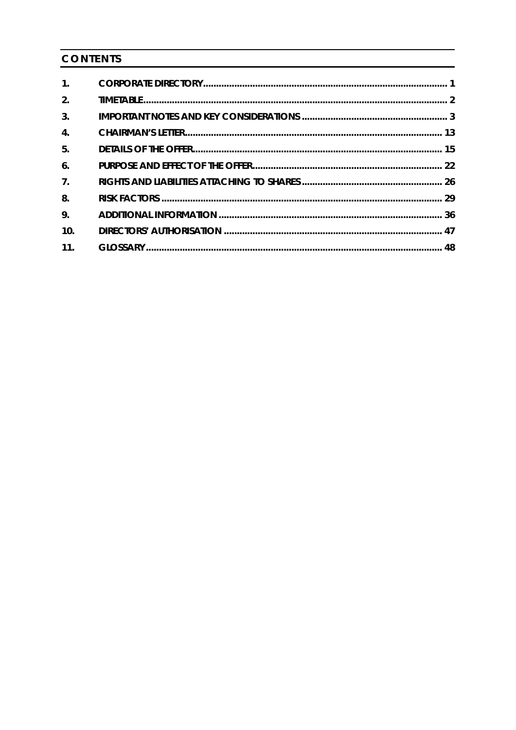# CONTENTS

| 1.               |  |
|------------------|--|
| 2.               |  |
| 3.               |  |
| $\overline{4}$ . |  |
| 5.               |  |
| 6.               |  |
| 7 <sub>1</sub>   |  |
| 8.               |  |
| 9.               |  |
| 10.              |  |
| 11.              |  |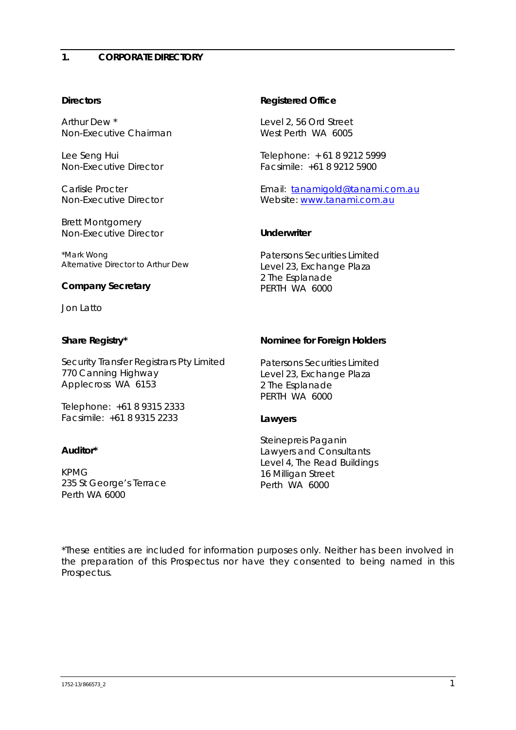# <span id="page-2-0"></span>**Directors**

Arthur Dew \* *Non-Executive Chairman*

Lee Seng Hui *Non-Executive Director*

Carlisle Procter *Non-Executive Director*

Brett Montgomery *Non-Executive Director*

\*Mark Wong *Alternative Director to Arthur Dew*

# **Company Secretary**

Jon Latto

# **Share Registry\***

Security Transfer Registrars Pty Limited 770 Canning Highway Applecross WA 6153

Telephone: +61 8 9315 2333 Facsimile: +61 8 9315 2233

# **Auditor\***

KPMG 235 St George's Terrace Perth WA 6000

# **Registered Office**

Level 2, 56 Ord Street West Perth WA 6005

Telephone: + 61 8 9212 5999 Facsimile: +61 8 9212 5900

Email: [tanamigold@tanami.com.au](mailto:tanamigold@tanami.com.au) Website: [www.tanami.com.au](http://www.tanami.com.au/)

# **Underwriter**

Patersons Securities Limited Level 23, Exchange Plaza 2 The Esplanade PERTH WA 6000

# **Nominee for Foreign Holders**

Patersons Securities Limited Level 23, Exchange Plaza 2 The Esplanade PERTH WA 6000

# **Lawyers**

Steinepreis Paganin Lawyers and Consultants Level 4, The Read Buildings 16 Milligan Street Perth WA 6000

\*These entities are included for information purposes only. Neither has been involved in the preparation of this Prospectus nor have they consented to being named in this Prospectus.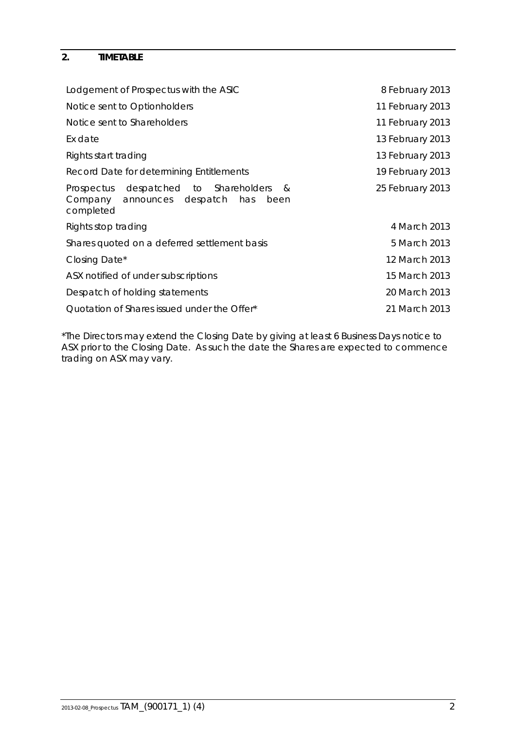# <span id="page-3-0"></span>**2. TIMETABLE**

| Lodgement of Prospectus with the ASIC                                                                     | 8 February 2013  |
|-----------------------------------------------------------------------------------------------------------|------------------|
| Notice sent to Optionholders                                                                              | 11 February 2013 |
| Notice sent to Shareholders                                                                               | 11 February 2013 |
| Ex date                                                                                                   | 13 February 2013 |
| Rights start trading                                                                                      | 13 February 2013 |
| Record Date for determining Entitlements                                                                  | 19 February 2013 |
| Prospectus despatched to Shareholders<br>- &<br>announces despatch<br>Company<br>has<br>been<br>completed | 25 February 2013 |
| Rights stop trading                                                                                       | 4 March 2013     |
| Shares quoted on a deferred settlement basis                                                              | 5 March 2013     |
| Closing Date*                                                                                             | 12 March 2013    |
| ASX notified of under subscriptions                                                                       | 15 March 2013    |
| Despatch of holding statements                                                                            | 20 March 2013    |
| Quotation of Shares issued under the Offer*                                                               | 21 March 2013    |

\*The Directors may extend the Closing Date by giving at least 6 Business Days notice to ASX prior to the Closing Date. As such the date the Shares are expected to commence trading on ASX may vary.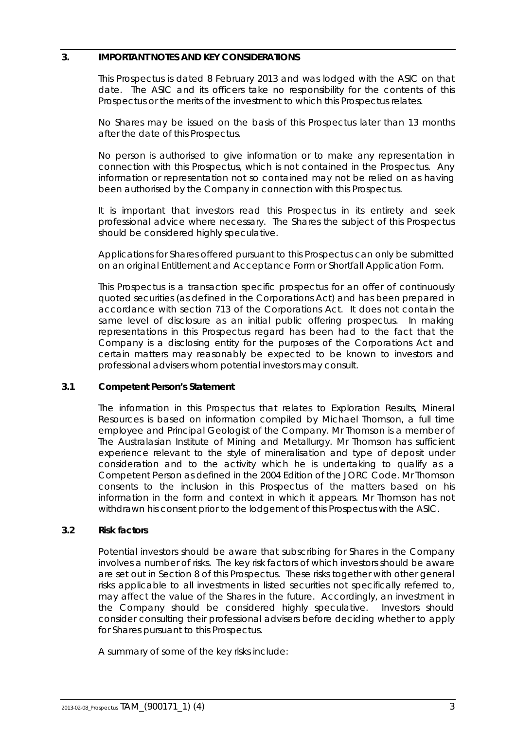### <span id="page-4-0"></span>**3. IMPORTANT NOTES AND KEY CONSIDERATIONS**

This Prospectus is dated 8 February 2013 and was lodged with the ASIC on that date. The ASIC and its officers take no responsibility for the contents of this Prospectus or the merits of the investment to which this Prospectus relates.

No Shares may be issued on the basis of this Prospectus later than 13 months after the date of this Prospectus.

No person is authorised to give information or to make any representation in connection with this Prospectus, which is not contained in the Prospectus. Any information or representation not so contained may not be relied on as having been authorised by the Company in connection with this Prospectus.

It is important that investors read this Prospectus in its entirety and seek professional advice where necessary. The Shares the subject of this Prospectus should be considered highly speculative.

Applications for Shares offered pursuant to this Prospectus can only be submitted on an original Entitlement and Acceptance Form or Shortfall Application Form.

This Prospectus is a transaction specific prospectus for an offer of continuously quoted securities (as defined in the Corporations Act) and has been prepared in accordance with section 713 of the Corporations Act. It does not contain the same level of disclosure as an initial public offering prospectus. In making representations in this Prospectus regard has been had to the fact that the Company is a disclosing entity for the purposes of the Corporations Act and certain matters may reasonably be expected to be known to investors and professional advisers whom potential investors may consult.

### **3.1 Competent Person's Statement**

The information in this Prospectus that relates to Exploration Results, Mineral Resources is based on information compiled by Michael Thomson, a full time employee and Principal Geologist of the Company. Mr Thomson is a member of The Australasian Institute of Mining and Metallurgy. Mr Thomson has sufficient experience relevant to the style of mineralisation and type of deposit under consideration and to the activity which he is undertaking to qualify as a Competent Person as defined in the 2004 Edition of the JORC Code. Mr Thomson consents to the inclusion in this Prospectus of the matters based on his information in the form and context in which it appears. Mr Thomson has not withdrawn his consent prior to the lodgement of this Prospectus with the ASIC.

### **3.2 Risk factors**

Potential investors should be aware that subscribing for Shares in the Company involves a number of risks. The key risk factors of which investors should be aware are set out in Section [8](#page-30-0) of this Prospectus. These risks together with other general risks applicable to all investments in listed securities not specifically referred to, may affect the value of the Shares in the future. Accordingly, an investment in the Company should be considered highly speculative. Investors should consider consulting their professional advisers before deciding whether to apply for Shares pursuant to this Prospectus.

A summary of some of the key risks include: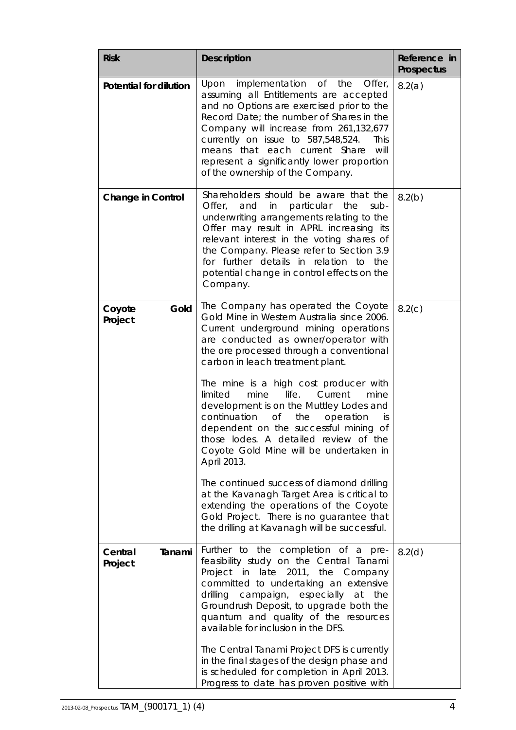| <b>Risk</b>                   | <b>Description</b>                                                                                                                                                                                                                                                                                                                                                                                                                                                                                                                                                                                                                                                                                                                                                                                                 | Reference in<br>Prospectus |  |
|-------------------------------|--------------------------------------------------------------------------------------------------------------------------------------------------------------------------------------------------------------------------------------------------------------------------------------------------------------------------------------------------------------------------------------------------------------------------------------------------------------------------------------------------------------------------------------------------------------------------------------------------------------------------------------------------------------------------------------------------------------------------------------------------------------------------------------------------------------------|----------------------------|--|
| <b>Potential for dilution</b> | implementation<br>$\circ$ of<br>Upon<br>the<br>Offer,<br>assuming all Entitlements are accepted<br>and no Options are exercised prior to the<br>Record Date; the number of Shares in the<br>Company will increase from 261,132,677<br>currently on issue to 587,548,524.<br>This<br>that each current<br>Share<br>will<br>means<br>represent a significantly lower proportion<br>of the ownership of the Company.                                                                                                                                                                                                                                                                                                                                                                                                  | 8.2(a)                     |  |
| <b>Change in Control</b>      | Shareholders should be aware that the<br>Offer, and in particular the<br>sub-<br>underwriting arrangements relating to the<br>Offer may result in APRL increasing its<br>relevant interest in the voting shares of<br>the Company. Please refer to Section 3.9<br>for further details in relation to the<br>potential change in control effects on the<br>Company.                                                                                                                                                                                                                                                                                                                                                                                                                                                 | 8.2(b)                     |  |
| Gold<br>Coyote<br>Project     | The Company has operated the Coyote<br>Gold Mine in Western Australia since 2006.<br>Current underground mining operations<br>are conducted as owner/operator with<br>the ore processed through a conventional<br>carbon in leach treatment plant.<br>The mine is a high cost producer with<br>life.<br>limited<br>mine<br>mine<br>Current<br>development is on the Muttley Lodes and<br>continuation<br>Οf<br>the<br>operation<br>İS.<br>dependent on the successful mining of<br>those lodes. A detailed review of the<br>Coyote Gold Mine will be undertaken in<br>April 2013.<br>The continued success of diamond drilling<br>at the Kavanagh Target Area is critical to<br>extending the operations of the Coyote<br>Gold Project. There is no guarantee that<br>the drilling at Kavanagh will be successful. | 8.2(c)                     |  |
| Central<br>Tanami<br>Project  | Further to the completion of a pre-<br>feasibility study on the Central Tanami<br>in late 2011, the<br>Project<br>Company<br>committed to undertaking an extensive<br>campaign, especially<br>drilling<br>at<br>the<br>Groundrush Deposit, to upgrade both the<br>quantum and quality of the resources<br>available for inclusion in the DFS.<br>The Central Tanami Project DFS is currently<br>in the final stages of the design phase and<br>is scheduled for completion in April 2013.<br>Progress to date has proven positive with                                                                                                                                                                                                                                                                             | 8.2(d)                     |  |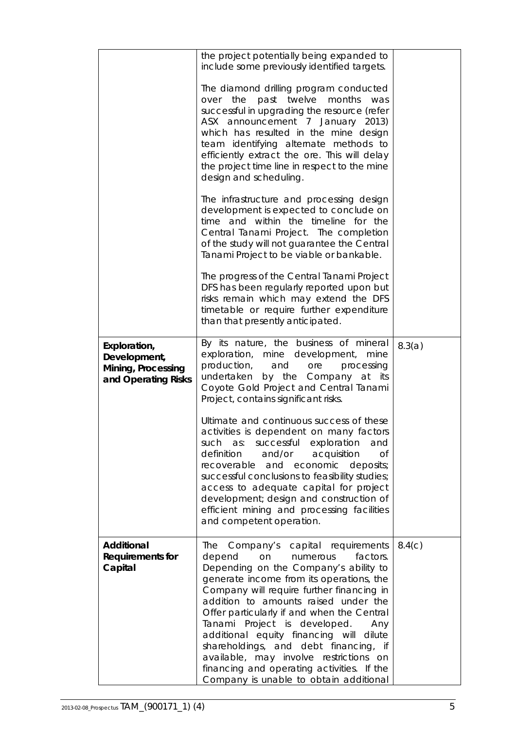|                                                                           | the project potentially being expanded to<br>include some previously identified targets.<br>The diamond drilling program conducted<br>over the past twelve months<br>was<br>successful in upgrading the resource (refer<br>ASX announcement 7 January 2013)<br>which has resulted in the mine design<br>team identifying alternate methods to<br>efficiently extract the ore. This will delay<br>the project time line in respect to the mine<br>design and scheduling.                                                                                            |        |
|---------------------------------------------------------------------------|--------------------------------------------------------------------------------------------------------------------------------------------------------------------------------------------------------------------------------------------------------------------------------------------------------------------------------------------------------------------------------------------------------------------------------------------------------------------------------------------------------------------------------------------------------------------|--------|
|                                                                           | The infrastructure and processing design<br>development is expected to conclude on<br>time and within the timeline for the<br>Central Tanami Project. The completion<br>of the study will not guarantee the Central<br>Tanami Project to be viable or bankable.                                                                                                                                                                                                                                                                                                    |        |
|                                                                           | The progress of the Central Tanami Project<br>DFS has been regularly reported upon but<br>risks remain which may extend the DFS<br>timetable or require further expenditure<br>than that presently anticipated.                                                                                                                                                                                                                                                                                                                                                    |        |
| Exploration,<br>Development,<br>Mining, Processing<br>and Operating Risks | By its nature, the business of mineral<br>exploration, mine development, mine<br>processing<br>production,<br>and<br>ore<br>undertaken<br>by the Company at its<br>Coyote Gold Project and Central Tanami<br>Project, contains significant risks.                                                                                                                                                                                                                                                                                                                  | 8.3(a) |
|                                                                           | Ultimate and continuous success of these<br>activities is dependent on many factors<br>such as: successful exploration<br>and<br>and/or acquisition<br>definition<br><b>of</b><br>recoverable and economic deposits;<br>successful conclusions to feasibility studies;<br>access to adequate capital for project<br>development; design and construction of<br>efficient mining and processing facilities<br>and competent operation.                                                                                                                              |        |
| <b>Additional</b><br>Requirements for<br>Capital                          | Company's capital requirements<br>The<br>depend<br>factors.<br>on<br>numerous<br>Depending on the Company's ability to<br>generate income from its operations, the<br>Company will require further financing in<br>addition to amounts raised under the<br>Offer particularly if and when the Central<br>Tanami Project is developed.<br>Any<br>additional equity financing will dilute<br>shareholdings, and debt financing, if<br>available, may involve restrictions on<br>financing and operating activities. If the<br>Company is unable to obtain additional | 8.4(c) |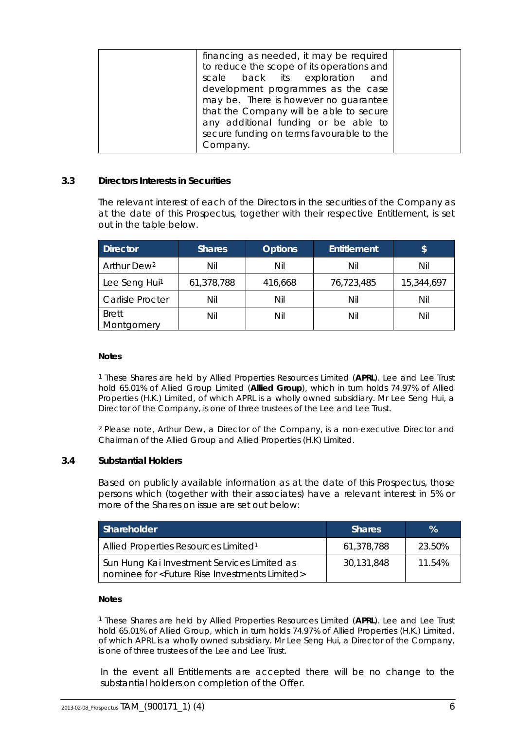| financing as needed, it may be required<br>to reduce the scope of its operations and<br>scale back its exploration and<br>development programmes as the case<br>may be. There is however no guarantee<br>that the Company will be able to secure |  |
|--------------------------------------------------------------------------------------------------------------------------------------------------------------------------------------------------------------------------------------------------|--|
| any additional funding or be able to<br>secure funding on terms favourable to the                                                                                                                                                                |  |
| Company.                                                                                                                                                                                                                                         |  |

### **3.3 Directors Interests in Securities**

The relevant interest of each of the Directors in the securities of the Company as at the date of this Prospectus, together with their respective Entitlement, is set out in the table below.

| <b>Director</b>            | <b>Shares</b> | <b>Options</b> | Entitlement | \$         |
|----------------------------|---------------|----------------|-------------|------------|
| Arthur Dew <sup>2</sup>    | Nil           | Nil            | Nil         | Nil        |
| Lee Seng Hui <sup>1</sup>  | 61,378,788    | 416,668        | 76,723,485  | 15,344,697 |
| <b>Carlisle Procter</b>    | Nil           | Nil            | Nil         | Nil        |
| <b>Brett</b><br>Montgomery | Nil           | Nil            | Nil         | Nil        |

#### **Notes**

<sup>1</sup> These Shares are held by Allied Properties Resources Limited (**APRL**). Lee and Lee Trust hold 65.01% of Allied Group Limited (**Allied Group**), which in turn holds 74.97% of Allied Properties (H.K.) Limited, of which APRL is a wholly owned subsidiary. Mr Lee Seng Hui, a Director of the Company, is one of three trustees of the Lee and Lee Trust.

2 Please note, Arthur Dew, a Director of the Company, is a non-executive Director and Chairman of the Allied Group and Allied Properties (H.K) Limited.

### **3.4 Substantial Holders**

Based on publicly available information as at the date of this Prospectus, those persons which (together with their associates) have a relevant interest in 5% or more of the Shares on issue are set out below:

| Shareholder                                                                                                    | <b>Shares</b> | %      |
|----------------------------------------------------------------------------------------------------------------|---------------|--------|
| Allied Properties Resources Limited <sup>1</sup>                                                               | 61,378,788    | 23.50% |
| Sun Hung Kai Investment Services Limited as<br>nominee for <future investments="" limited="" rise=""></future> | 30,131,848    | 11.54% |

#### **Notes**

<sup>1</sup> These Shares are held by Allied Properties Resources Limited (**APRL**). Lee and Lee Trust hold 65.01% of Allied Group, which in turn holds 74.97% of Allied Properties (H.K.) Limited, of which APRL is a wholly owned subsidiary. Mr Lee Seng Hui, a Director of the Company, is one of three trustees of the Lee and Lee Trust.

In the event all Entitlements are accepted there will be no change to the substantial holders on completion of the Offer.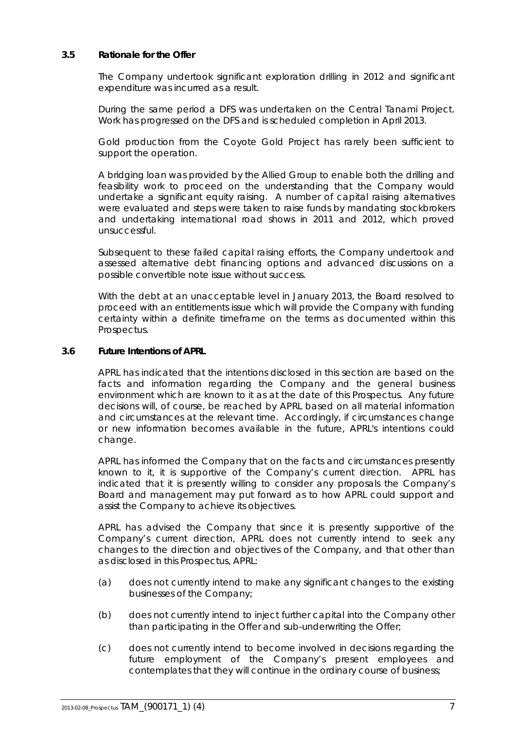### **3.5 Rationale for the Offer**

The Company undertook significant exploration drilling in 2012 and significant expenditure was incurred as a result.

During the same period a DFS was undertaken on the Central Tanami Project. Work has progressed on the DFS and is scheduled completion in April 2013.

Gold production from the Coyote Gold Project has rarely been sufficient to support the operation.

A bridging loan was provided by the Allied Group to enable both the drilling and feasibility work to proceed on the understanding that the Company would undertake a significant equity raising. A number of capital raising alternatives were evaluated and steps were taken to raise funds by mandating stockbrokers and undertaking international road shows in 2011 and 2012, which proved unsuccessful.

Subsequent to these failed capital raising efforts, the Company undertook and assessed alternative debt financing options and advanced discussions on a possible convertible note issue without success.

With the debt at an unacceptable level in January 2013, the Board resolved to proceed with an entitlements issue which will provide the Company with funding certainty within a definite timeframe on the terms as documented within this Prospectus.

### <span id="page-8-0"></span>**3.6 Future Intentions of APRL**

APRL has indicated that the intentions disclosed in this section are based on the facts and information regarding the Company and the general business environment which are known to it as at the date of this Prospectus. Any future decisions will, of course, be reached by APRL based on all material information and circumstances at the relevant time. Accordingly, if circumstances change or new information becomes available in the future, APRL's intentions could change.

APRL has informed the Company that on the facts and circumstances presently known to it, it is supportive of the Company's current direction. APRL has indicated that it is presently willing to consider any proposals the Company's Board and management may put forward as to how APRL could support and assist the Company to achieve its objectives.

APRL has advised the Company that since it is presently supportive of the Company's current direction, APRL does not currently intend to seek any changes to the direction and objectives of the Company, and that other than as disclosed in this Prospectus, APRL:

- (a) does not currently intend to make any significant changes to the existing businesses of the Company;
- (b) does not currently intend to inject further capital into the Company other than participating in the Offer and sub-underwriting the Offer;
- (c) does not currently intend to become involved in decisions regarding the future employment of the Company's present employees and contemplates that they will continue in the ordinary course of business;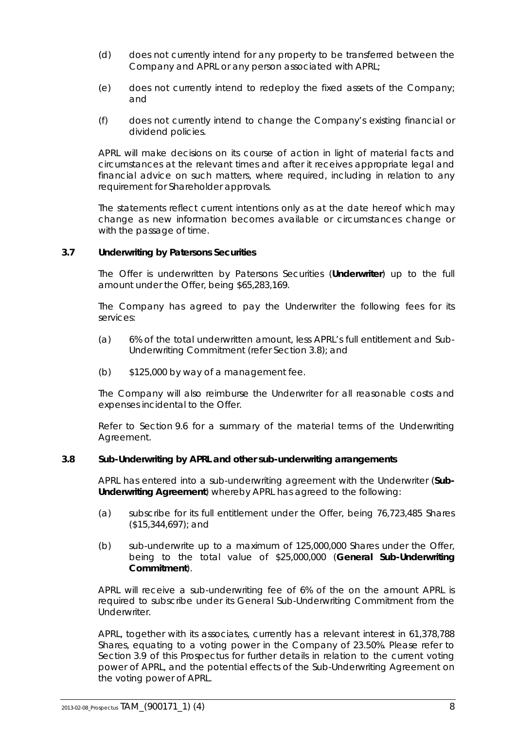- (d) does not currently intend for any property to be transferred between the Company and APRL or any person associated with APRL;
- (e) does not currently intend to redeploy the fixed assets of the Company; and
- (f) does not currently intend to change the Company's existing financial or dividend policies.

APRL will make decisions on its course of action in light of material facts and circumstances at the relevant times and after it receives appropriate legal and financial advice on such matters, where required, including in relation to any requirement for Shareholder approvals.

The statements reflect current intentions only as at the date hereof which may change as new information becomes available or circumstances change or with the passage of time.

### <span id="page-9-0"></span>**3.7 Underwriting by Patersons Securities**

The Offer is underwritten by Patersons Securities (**Underwriter**) up to the full amount under the Offer, being \$65,283,169.

The Company has agreed to pay the Underwriter the following fees for its services:

- (a) 6% of the total underwritten amount, less APRL's full entitlement and Sub-Underwriting Commitment (refer Section [3.8\)](#page-9-1); and
- (b) \$125,000 by way of a management fee.

The Company will also reimburse the Underwriter for all reasonable costs and expenses incidental to the Offer.

Refer to Section [9.6](#page-39-0) for a summary of the material terms of the Underwriting Agreement.

### <span id="page-9-1"></span>**3.8 Sub-Underwriting by APRL and other sub-underwriting arrangements**

APRL has entered into a sub-underwriting agreement with the Underwriter (**Sub-Underwriting Agreement**) whereby APRL has agreed to the following:

- (a) subscribe for its full entitlement under the Offer, being 76,723,485 Shares (\$15,344,697); and
- (b) sub-underwrite up to a maximum of 125,000,000 Shares under the Offer, being to the total value of \$25,000,000 (**General Sub-Underwriting Commitment**).

APRL will receive a sub-underwriting fee of 6% of the on the amount APRL is required to subscribe under its General Sub-Underwriting Commitment from the Underwriter.

APRL, together with its associates, currently has a relevant interest in 61,378,788 Shares, equating to a voting power in the Company of 23.50%. Please refer to Section [3.9](#page-10-0) of this Prospectus for further details in relation to the current voting power of APRL, and the potential effects of the Sub-Underwriting Agreement on the voting power of APRL.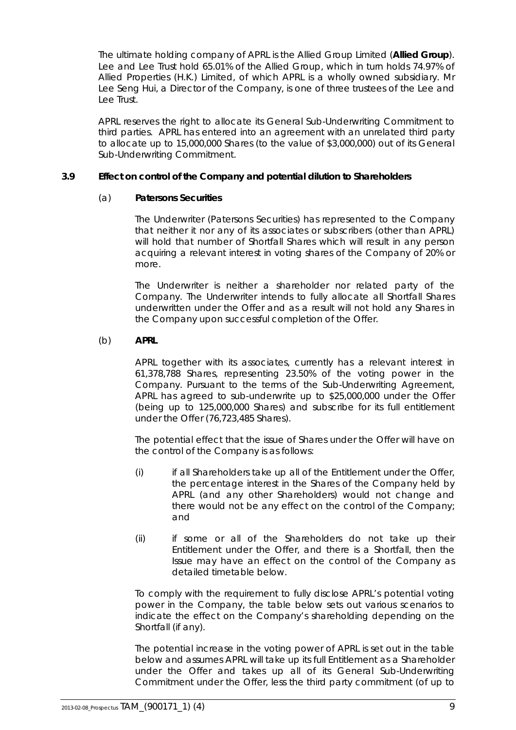The ultimate holding company of APRL is the Allied Group Limited (**Allied Group**). Lee and Lee Trust hold 65.01% of the Allied Group, which in turn holds 74.97% of Allied Properties (H.K.) Limited, of which APRL is a wholly owned subsidiary. Mr Lee Seng Hui, a Director of the Company, is one of three trustees of the Lee and Lee Trust.

APRL reserves the right to allocate its General Sub-Underwriting Commitment to third parties. APRL has entered into an agreement with an unrelated third party to allocate up to 15,000,000 Shares (to the value of \$3,000,000) out of its General Sub-Underwriting Commitment.

### <span id="page-10-0"></span>**3.9 Effect on control of the Company and potential dilution to Shareholders**

### (a) **Patersons Securities**

The Underwriter (Patersons Securities) has represented to the Company that neither it nor any of its associates or subscribers (other than APRL) will hold that number of Shortfall Shares which will result in any person acquiring a relevant interest in voting shares of the Company of 20% or more.

The Underwriter is neither a shareholder nor related party of the Company. The Underwriter intends to fully allocate all Shortfall Shares underwritten under the Offer and as a result will not hold any Shares in the Company upon successful completion of the Offer.

### (b) **APRL**

APRL together with its associates, currently has a relevant interest in 61,378,788 Shares, representing 23.50% of the voting power in the Company. Pursuant to the terms of the Sub-Underwriting Agreement, APRL has agreed to sub-underwrite up to \$25,000,000 under the Offer (being up to 125,000,000 Shares) and subscribe for its full entitlement under the Offer (76,723,485 Shares).

The potential effect that the issue of Shares under the Offer will have on the control of the Company is as follows:

- (i) if all Shareholders take up all of the Entitlement under the Offer, the percentage interest in the Shares of the Company held by APRL (and any other Shareholders) would not change and there would not be any effect on the control of the Company; and
- (ii) if some or all of the Shareholders do not take up their Entitlement under the Offer, and there is a Shortfall, then the Issue may have an effect on the control of the Company as detailed timetable below.

To comply with the requirement to fully disclose APRL's potential voting power in the Company, the table below sets out various scenarios to indicate the effect on the Company's shareholding depending on the Shortfall (if any).

The potential increase in the voting power of APRL is set out in the table below and assumes APRL will take up its full Entitlement as a Shareholder under the Offer and takes up all of its General Sub-Underwriting Commitment under the Offer, less the third party commitment (of up to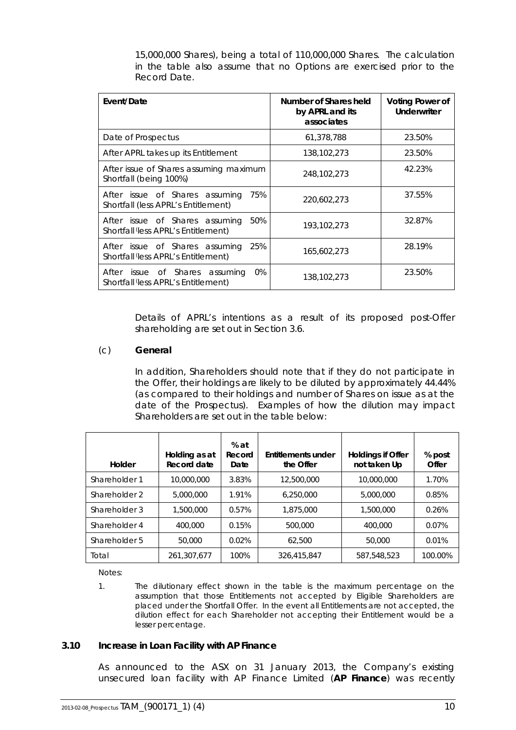15,000,000 Shares), being a total of 110,000,000 Shares. The calculation in the table also assume that no Options are exercised prior to the Record Date.

| Event/Date                                                                              | Number of Shares held<br>by APRL and its<br>associates | <b>Voting Power of</b><br><b>Underwriter</b> |
|-----------------------------------------------------------------------------------------|--------------------------------------------------------|----------------------------------------------|
| Date of Prospectus                                                                      | 61,378,788                                             | 23.50%                                       |
| After APRL takes up its Entitlement                                                     | 138,102,273                                            | 23.50%                                       |
| After issue of Shares assuming maximum<br>Shortfall (being 100%)                        | 248, 102, 273                                          | 42.23%                                       |
| 75%<br>After issue of Shares assuming<br>Shortfall (less APRL's Entitlement)            | 220,602,273                                            | 37.55%                                       |
| 50%<br>After issue of Shares assuming<br>Shortfall <i>(less APRL's Entitlement)</i>     | 193,102,273                                            | 32.87%                                       |
| 25%<br>After issue of Shares assuming<br>Shortfall <i>(less APRL's Entitlement)</i>     | 165,602,273                                            | 28.19%                                       |
| $0\%$<br>After<br>issue of Shares assuming<br>Shortfall <i>less</i> APRL's Entitlement) | 138,102,273                                            | 23.50%                                       |

Details of APRL's intentions as a result of its proposed post-Offer shareholding are set out in Section [3.6.](#page-8-0)

### (c) **General**

In addition, Shareholders should note that if they do not participate in the Offer, their holdings are likely to be diluted by approximately 44.44% (as compared to their holdings and number of Shares on issue as at the date of the Prospectus). Examples of how the dilution may impact Shareholders are set out in the table below:

| Holder        | Holding as at<br>Record date | $%$ at<br>Record<br>Date | Entitlements under<br>the Offer | Holdings if Offer<br>not taken Up | % post<br>Offer |
|---------------|------------------------------|--------------------------|---------------------------------|-----------------------------------|-----------------|
| Shareholder 1 | 10,000,000                   | 3.83%                    | 12,500,000                      | 10,000,000                        | 1.70%           |
| Shareholder 2 | 5,000,000                    | 1.91%                    | 6,250,000                       | 5,000,000                         | 0.85%           |
| Shareholder 3 | 1,500,000                    | 0.57%                    | 1,875,000                       | 1,500,000                         | 0.26%           |
| Shareholder 4 | 400,000                      | 0.15%                    | 500,000                         | 400,000                           | 0.07%           |
| Shareholder 5 | 50,000                       | 0.02%                    | 62.500                          | 50,000                            | 0.01%           |
| Total         | 261,307,677                  | 100%                     | 326,415,847                     | 587.548.523                       | 100.00%         |

Notes:

1. The dilutionary effect shown in the table is the maximum percentage on the assumption that those Entitlements not accepted by Eligible Shareholders are placed under the Shortfall Offer. In the event all Entitlements are not accepted, the dilution effect for each Shareholder not accepting their Entitlement would be a lesser percentage.

#### <span id="page-11-0"></span>**3.10 Increase in Loan Facility with AP Finance**

As announced to the ASX on 31 January 2013, the Company's existing unsecured loan facility with AP Finance Limited (**AP Finance**) was recently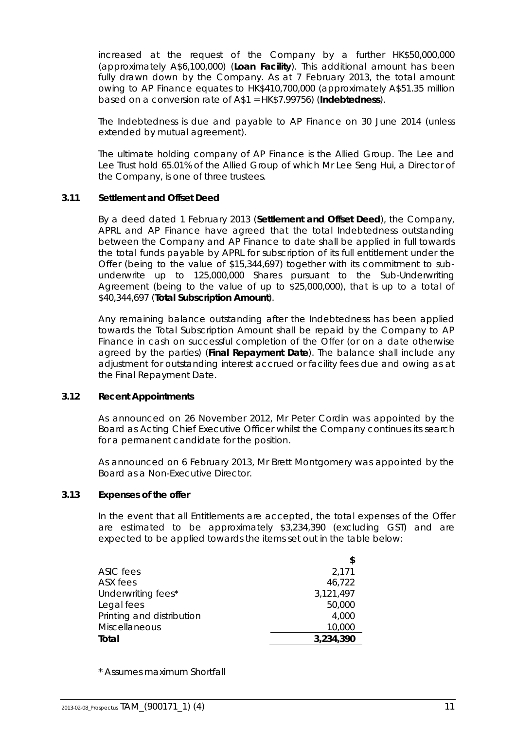increased at the request of the Company by a further HK\$50,000,000 (approximately A\$6,100,000) (**Loan Facility**). This additional amount has been fully drawn down by the Company. As at 7 February 2013, the total amount owing to AP Finance equates to HK\$410,700,000 (approximately A\$51.35 million based on a conversion rate of A\$1 = HK\$7.99756) (**Indebtedness**).

The Indebtedness is due and payable to AP Finance on 30 June 2014 (unless extended by mutual agreement).

The ultimate holding company of AP Finance is the Allied Group. The Lee and Lee Trust hold 65.01% of the Allied Group of which Mr Lee Seng Hui, a Director of the Company, is one of three trustees.

### <span id="page-12-1"></span>**3.11 Settlement and Offset Deed**

By a deed dated 1 February 2013 (**Settlement and Offset Deed**), the Company, APRL and AP Finance have agreed that the total Indebtedness outstanding between the Company and AP Finance to date shall be applied in full towards the total funds payable by APRL for subscription of its full entitlement under the Offer (being to the value of \$15,344,697) together with its commitment to subunderwrite up to 125,000,000 Shares pursuant to the Sub-Underwriting Agreement (being to the value of up to \$25,000,000), that is up to a total of \$40,344,697 (**Total Subscription Amount**).

Any remaining balance outstanding after the Indebtedness has been applied towards the Total Subscription Amount shall be repaid by the Company to AP Finance in cash on successful completion of the Offer (or on a date otherwise agreed by the parties) (**Final Repayment Date**). The balance shall include any adjustment for outstanding interest accrued or facility fees due and owing as at the Final Repayment Date.

### **3.12 Recent Appointments**

As announced on 26 November 2012, Mr Peter Cordin was appointed by the Board as Acting Chief Executive Officer whilst the Company continues its search for a permanent candidate for the position.

As announced on 6 February 2013, Mr Brett Montgomery was appointed by the Board as a Non-Executive Director.

### <span id="page-12-0"></span>**3.13 Expenses of the offer**

In the event that all Entitlements are accepted, the total expenses of the Offer are estimated to be approximately \$3,234,390 (excluding GST) and are expected to be applied towards the items set out in the table below:

|                           | \$        |
|---------------------------|-----------|
| ASIC fees                 | 2,171     |
| ASX fees                  | 46,722    |
| Underwriting fees*        | 3,121,497 |
| Legal fees                | 50,000    |
| Printing and distribution | 4,000     |
| <b>Miscellaneous</b>      | 10,000    |
| Total                     | 3,234,390 |
|                           |           |

\* Assumes maximum Shortfall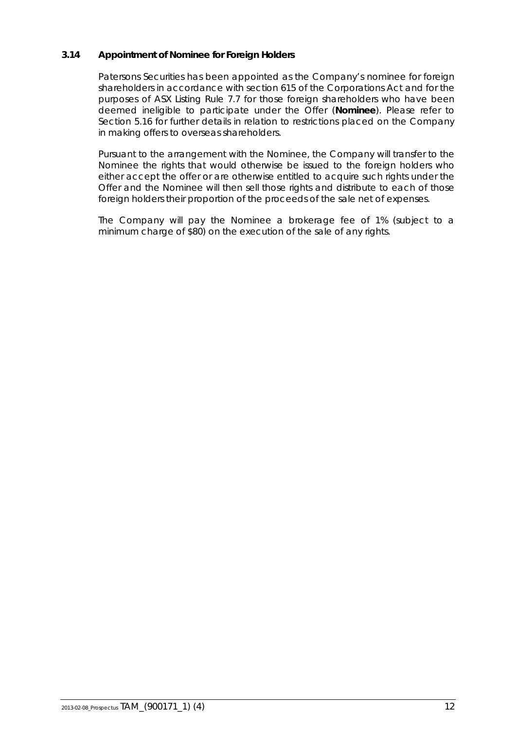### <span id="page-13-0"></span>**3.14 Appointment of Nominee for Foreign Holders**

Patersons Securities has been appointed as the Company's nominee for foreign shareholders in accordance with section 615 of the Corporations Act and for the purposes of ASX Listing Rule 7.7 for those foreign shareholders who have been deemed ineligible to participate under the Offer (**Nominee**). Please refer to Section [5.16](#page-21-0) for further details in relation to restrictions placed on the Company in making offers to overseas shareholders.

Pursuant to the arrangement with the Nominee, the Company will transfer to the Nominee the rights that would otherwise be issued to the foreign holders who either accept the offer or are otherwise entitled to acquire such rights under the Offer and the Nominee will then sell those rights and distribute to each of those foreign holders their proportion of the proceeds of the sale net of expenses.

The Company will pay the Nominee a brokerage fee of 1% (subject to a minimum charge of \$80) on the execution of the sale of any rights.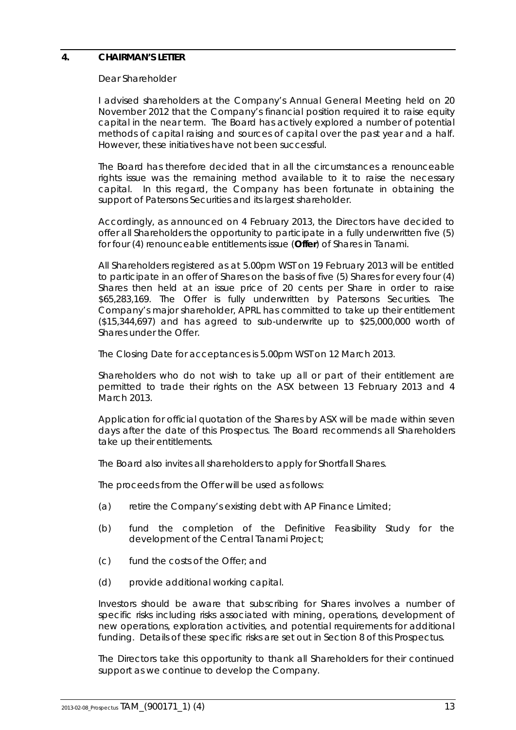### <span id="page-14-0"></span>**4. CHAIRMAN'S LETTER**

#### Dear Shareholder

I advised shareholders at the Company's Annual General Meeting held on 20 November 2012 that the Company's financial position required it to raise equity capital in the near term. The Board has actively explored a number of potential methods of capital raising and sources of capital over the past year and a half. However, these initiatives have not been successful.

The Board has therefore decided that in all the circumstances a renounceable rights issue was the remaining method available to it to raise the necessary capital. In this regard, the Company has been fortunate in obtaining the support of Patersons Securities and its largest shareholder.

Accordingly, as announced on 4 February 2013, the Directors have decided to offer all Shareholders the opportunity to participate in a fully underwritten five (5) for four (4) renounceable entitlements issue (**Offer**) of Shares in Tanami.

All Shareholders registered as at 5.00pm WST on 19 February 2013 will be entitled to participate in an offer of Shares on the basis of five (5) Shares for every four (4) Shares then held at an issue price of 20 cents per Share in order to raise \$65,283,169. The Offer is fully underwritten by Patersons Securities. The Company's major shareholder, APRL has committed to take up their entitlement (\$15,344,697) and has agreed to sub-underwrite up to \$25,000,000 worth of Shares under the Offer.

The Closing Date for acceptances is 5.00pm WST on 12 March 2013.

Shareholders who do not wish to take up all or part of their entitlement are permitted to trade their rights on the ASX between 13 February 2013 and 4 March 2013.

Application for official quotation of the Shares by ASX will be made within seven days after the date of this Prospectus. The Board recommends all Shareholders take up their entitlements.

The Board also invites all shareholders to apply for Shortfall Shares.

The proceeds from the Offer will be used as follows:

- (a) retire the Company's existing debt with AP Finance Limited;
- (b) fund the completion of the Definitive Feasibility Study for the development of the Central Tanami Project;
- (c) fund the costs of the Offer; and
- (d) provide additional working capital.

Investors should be aware that subscribing for Shares involves a number of specific risks including risks associated with mining, operations, development of new operations, exploration activities, and potential requirements for additional funding. Details of these specific risks are set out in Section [8](#page-30-0) of this Prospectus.

The Directors take this opportunity to thank all Shareholders for their continued support as we continue to develop the Company.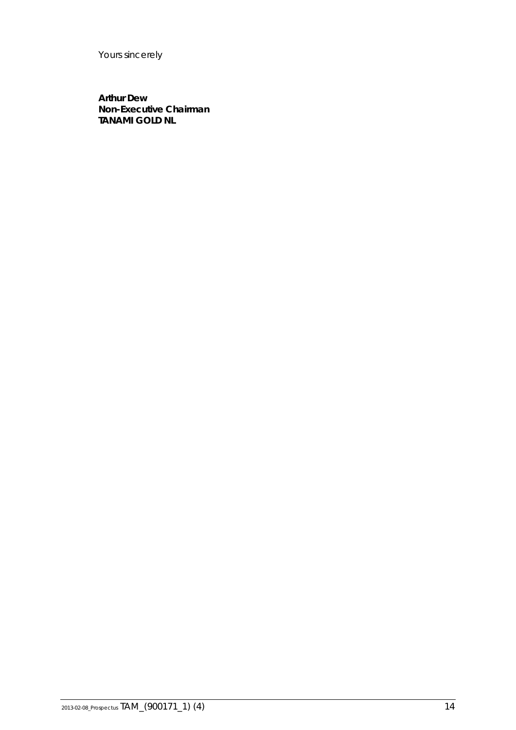Yours sincerely

**Arthur Dew Non-Executive Chairman TANAMI GOLD NL**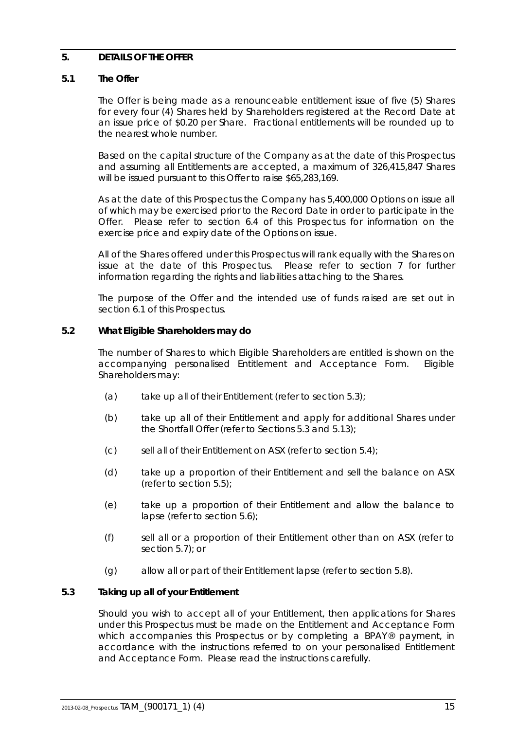### <span id="page-16-0"></span>**5. DETAILS OF THE OFFER**

### **5.1 The Offer**

The Offer is being made as a renounceable entitlement issue of five (5) Shares for every four (4) Shares held by Shareholders registered at the Record Date at an issue price of \$0.20 per Share. Fractional entitlements will be rounded up to the nearest whole number.

Based on the capital structure of the Company as at the date of this Prospectus and assuming all Entitlements are accepted, a maximum of 326,415,847 Shares will be issued pursuant to this Offer to raise \$65,283,169.

As at the date of this Prospectus the Company has 5,400,000 Options on issue all of which may be exercised prior to the Record Date in order to participate in the Offer. Please refer to section [6.4](#page-26-0) of this Prospectus for information on the exercise price and expiry date of the Options on issue.

All of the Shares offered under this Prospectus will rank equally with the Shares on issue at the date of this Prospectus. Please refer to section [7](#page-27-0) for further information regarding the rights and liabilities attaching to the Shares.

The purpose of the Offer and the intended use of funds raised are set out in section [6.1](#page-23-1) of this Prospectus.

### **5.2 What Eligible Shareholders may do**

The number of Shares to which Eligible Shareholders are entitled is shown on the accompanying personalised Entitlement and Acceptance Form. Eligible Shareholders may:

- (a) take up all of their Entitlement (refer to section  $5.3$ );
- (b) take up all of their Entitlement and apply for additional Shares under the Shortfall Offer (refer to Sections [5.3](#page-16-1) and [5.13\)](#page-20-0);
- (c) sell all of their Entitlement on ASX (refer to section [5.4\)](#page-17-0);
- (d) take up a proportion of their Entitlement and sell the balance on ASX (refer to section [5.5\)](#page-17-1);
- (e) take up a proportion of their Entitlement and allow the balance to lapse (refer to section [5.6\)](#page-18-0);
- (f) sell all or a proportion of their Entitlement other than on ASX (refer to section [5.7\)](#page-18-1); or
- (g) allow all or part of their Entitlement lapse (refer to section [5.8\)](#page-18-2).

### <span id="page-16-1"></span>**5.3 Taking up all of your Entitlement**

Should you wish to accept all of your Entitlement, then applications for Shares under this Prospectus must be made on the Entitlement and Acceptance Form which accompanies this Prospectus or by completing a BPAY® payment, in accordance with the instructions referred to on your personalised Entitlement and Acceptance Form. Please read the instructions carefully.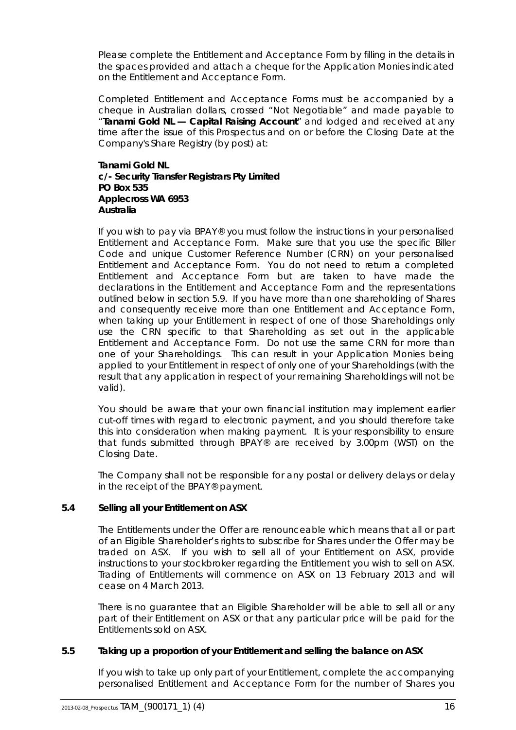Please complete the Entitlement and Acceptance Form by filling in the details in the spaces provided and attach a cheque for the Application Monies indicated on the Entitlement and Acceptance Form.

Completed Entitlement and Acceptance Forms must be accompanied by a cheque in Australian dollars, crossed "Not Negotiable" and made payable to "**Tanami Gold NL — Capital Raising Account**" and lodged and received at any time after the issue of this Prospectus and on or before the Closing Date at the Company's Share Registry (by post) at:

### **Tanami Gold NL c/- Security Transfer Registrars Pty Limited PO Box 535 Applecross WA 6953 Australia**

If you wish to pay via BPAY® you must follow the instructions in your personalised Entitlement and Acceptance Form. Make sure that you use the specific Biller Code and unique Customer Reference Number (CRN) on your personalised Entitlement and Acceptance Form. You do not need to return a completed Entitlement and Acceptance Form but are taken to have made the declarations in the Entitlement and Acceptance Form and the representations outlined below in section [5.9.](#page-19-0) If you have more than one shareholding of Shares and consequently receive more than one Entitlement and Acceptance Form, when taking up your Entitlement in respect of one of those Shareholdings only use the CRN specific to that Shareholding as set out in the applicable Entitlement and Acceptance Form. Do not use the same CRN for more than one of your Shareholdings. This can result in your Application Monies being applied to your Entitlement in respect of only one of your Shareholdings (with the result that any application in respect of your remaining Shareholdings will not be valid).

You should be aware that your own financial institution may implement earlier cut-off times with regard to electronic payment, and you should therefore take this into consideration when making payment. It is your responsibility to ensure that funds submitted through BPAY® are received by 3.00pm (WST) on the Closing Date.

The Company shall not be responsible for any postal or delivery delays or delay in the receipt of the BPAY® payment.

### <span id="page-17-0"></span>**5.4 Selling all your Entitlement on ASX**

The Entitlements under the Offer are renounceable which means that all or part of an Eligible Shareholder's rights to subscribe for Shares under the Offer may be traded on ASX. If you wish to sell all of your Entitlement on ASX, provide instructions to your stockbroker regarding the Entitlement you wish to sell on ASX. Trading of Entitlements will commence on ASX on 13 February 2013 and will cease on 4 March 2013.

There is no guarantee that an Eligible Shareholder will be able to sell all or any part of their Entitlement on ASX or that any particular price will be paid for the Entitlements sold on ASX.

### <span id="page-17-1"></span>**5.5 Taking up a proportion of your Entitlement and selling the balance on ASX**

If you wish to take up only part of your Entitlement, complete the accompanying personalised Entitlement and Acceptance Form for the number of Shares you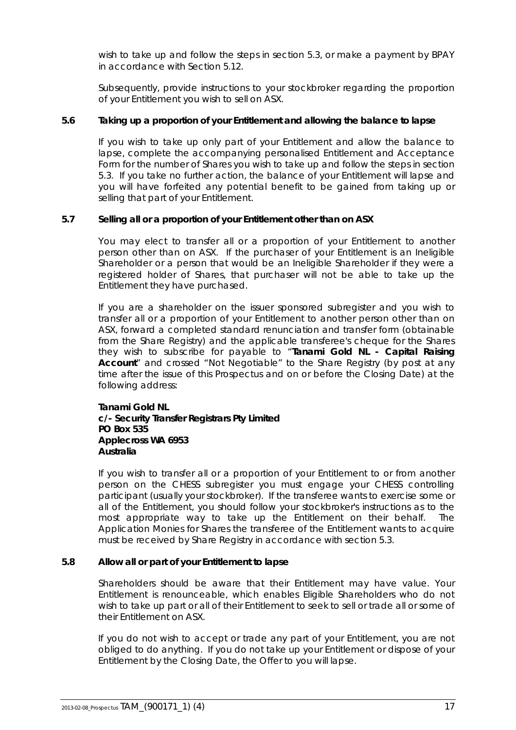wish to take up and follow the steps in section [5.3,](#page-16-1) or make a payment by BPAY in accordance with Section [5.12.](#page-19-1)

Subsequently, provide instructions to your stockbroker regarding the proportion of your Entitlement you wish to sell on ASX.

### <span id="page-18-0"></span>**5.6 Taking up a proportion of your Entitlement and allowing the balance to lapse**

If you wish to take up only part of your Entitlement and allow the balance to lapse, complete the accompanying personalised Entitlement and Acceptance Form for the number of Shares you wish to take up and follow the steps in section [5.3.](#page-16-1) If you take no further action, the balance of your Entitlement will lapse and you will have forfeited any potential benefit to be gained from taking up or selling that part of your Entitlement.

### <span id="page-18-1"></span>**5.7 Selling all or a proportion of your Entitlement other than on ASX**

You may elect to transfer all or a proportion of your Entitlement to another person other than on ASX. If the purchaser of your Entitlement is an Ineligible Shareholder or a person that would be an Ineligible Shareholder if they were a registered holder of Shares, that purchaser will not be able to take up the Entitlement they have purchased.

If you are a shareholder on the issuer sponsored subregister and you wish to transfer all or a proportion of your Entitlement to another person other than on ASX, forward a completed standard renunciation and transfer form (obtainable from the Share Registry) and the applicable transferee's cheque for the Shares they wish to subscribe for payable to "**Tanami Gold NL - Capital Raising Account**" and crossed "Not Negotiable" to the Share Registry (by post at any time after the issue of this Prospectus and on or before the Closing Date) at the following address:

#### **Tanami Gold NL c/- Security Transfer Registrars Pty Limited PO Box 535 Applecross WA 6953 Australia**

If you wish to transfer all or a proportion of your Entitlement to or from another person on the CHESS subregister you must engage your CHESS controlling participant (usually your stockbroker). If the transferee wants to exercise some or all of the Entitlement, you should follow your stockbroker's instructions as to the most appropriate way to take up the Entitlement on their behalf. The Application Monies for Shares the transferee of the Entitlement wants to acquire must be received by Share Registry in accordance with section [5.3.](#page-16-1)

### <span id="page-18-2"></span>**5.8 Allow all or part of your Entitlement to lapse**

Shareholders should be aware that their Entitlement may have value. Your Entitlement is renounceable, which enables Eligible Shareholders who do not wish to take up part or all of their Entitlement to seek to sell or trade all or some of their Entitlement on ASX.

If you do not wish to accept or trade any part of your Entitlement, you are not obliged to do anything. If you do not take up your Entitlement or dispose of your Entitlement by the Closing Date, the Offer to you will lapse.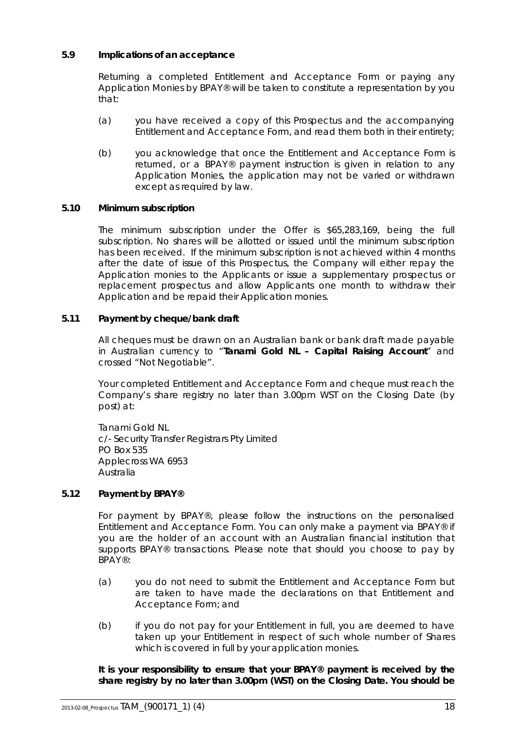### <span id="page-19-0"></span>**5.9 Implications of an acceptance**

Returning a completed Entitlement and Acceptance Form or paying any Application Monies by BPAY® will be taken to constitute a representation by you that:

- (a) you have received a copy of this Prospectus and the accompanying Entitlement and Acceptance Form, and read them both in their entirety;
- (b) you acknowledge that once the Entitlement and Acceptance Form is returned, or a BPAY® payment instruction is given in relation to any Application Monies, the application may not be varied or withdrawn except as required by law.

### **5.10 Minimum subscription**

The minimum subscription under the Offer is \$65,283,169, being the full subscription. No shares will be allotted or issued until the minimum subscription has been received. If the minimum subscription is not achieved within 4 months after the date of issue of this Prospectus, the Company will either repay the Application monies to the Applicants or issue a supplementary prospectus or replacement prospectus and allow Applicants one month to withdraw their Application and be repaid their Application monies.

### **5.11 Payment by cheque/bank draft**

All cheques must be drawn on an Australian bank or bank draft made payable in Australian currency to "**Tanami Gold NL – Capital Raising Account**" and crossed "Not Negotiable".

Your completed Entitlement and Acceptance Form and cheque must reach the Company's share registry no later than 3.00pm WST on the Closing Date (by post) at:

Tanami Gold NL c/- Security Transfer Registrars Pty Limited PO Box 535 Applecross WA 6953 Australia

### <span id="page-19-1"></span>**5.12 Payment by BPAY®**

For payment by BPAY®, please follow the instructions on the personalised Entitlement and Acceptance Form. You can only make a payment via BPAY® if you are the holder of an account with an Australian financial institution that supports BPAY® transactions. Please note that should you choose to pay by BPAY®:

- (a) you do not need to submit the Entitlement and Acceptance Form but are taken to have made the declarations on that Entitlement and Acceptance Form; and
- (b) if you do not pay for your Entitlement in full, you are deemed to have taken up your Entitlement in respect of such whole number of Shares which is covered in full by your application monies.

**It is your responsibility to ensure that your BPAY® payment is received by the share registry by no later than 3.00pm (WST) on the Closing Date. You should be**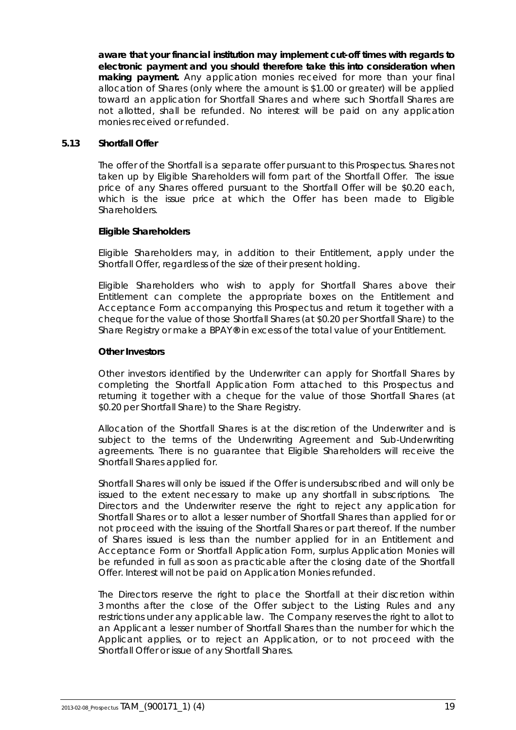**aware that your financial institution may implement cut-off times with regards to electronic payment and you should therefore take this into consideration when making payment.** Any application monies received for more than your final allocation of Shares (only where the amount is \$1.00 or greater) will be applied toward an application for Shortfall Shares and where such Shortfall Shares are not allotted, shall be refunded. No interest will be paid on any application monies received or refunded.

### <span id="page-20-0"></span>**5.13 Shortfall Offer**

The offer of the Shortfall is a separate offer pursuant to this Prospectus. Shares not taken up by Eligible Shareholders will form part of the Shortfall Offer. The issue price of any Shares offered pursuant to the Shortfall Offer will be \$0.20 each, which is the issue price at which the Offer has been made to Eligible **Shareholders** 

### **Eligible Shareholders**

Eligible Shareholders may, in addition to their Entitlement, apply under the Shortfall Offer, regardless of the size of their present holding.

Eligible Shareholders who wish to apply for Shortfall Shares above their Entitlement can complete the appropriate boxes on the Entitlement and Acceptance Form accompanying this Prospectus and return it together with a cheque for the value of those Shortfall Shares (at \$0.20 per Shortfall Share) to the Share Registry or make a BPAY**®** in excess of the total value of your Entitlement.

### **Other Investors**

Other investors identified by the Underwriter can apply for Shortfall Shares by completing the Shortfall Application Form attached to this Prospectus and returning it together with a cheque for the value of those Shortfall Shares (at \$0.20 per Shortfall Share) to the Share Registry.

Allocation of the Shortfall Shares is at the discretion of the Underwriter and is subject to the terms of the Underwriting Agreement and Sub-Underwriting agreements. There is no guarantee that Eligible Shareholders will receive the Shortfall Shares applied for.

Shortfall Shares will only be issued if the Offer is undersubscribed and will only be issued to the extent necessary to make up any shortfall in subscriptions. The Directors and the Underwriter reserve the right to reject any application for Shortfall Shares or to allot a lesser number of Shortfall Shares than applied for or not proceed with the issuing of the Shortfall Shares or part thereof. If the number of Shares issued is less than the number applied for in an Entitlement and Acceptance Form or Shortfall Application Form, surplus Application Monies will be refunded in full as soon as practicable after the closing date of the Shortfall Offer. Interest will not be paid on Application Monies refunded.

The Directors reserve the right to place the Shortfall at their discretion within 3 months after the close of the Offer subject to the Listing Rules and any restrictions under any applicable law. The Company reserves the right to allot to an Applicant a lesser number of Shortfall Shares than the number for which the Applicant applies, or to reject an Application, or to not proceed with the Shortfall Offer or issue of any Shortfall Shares.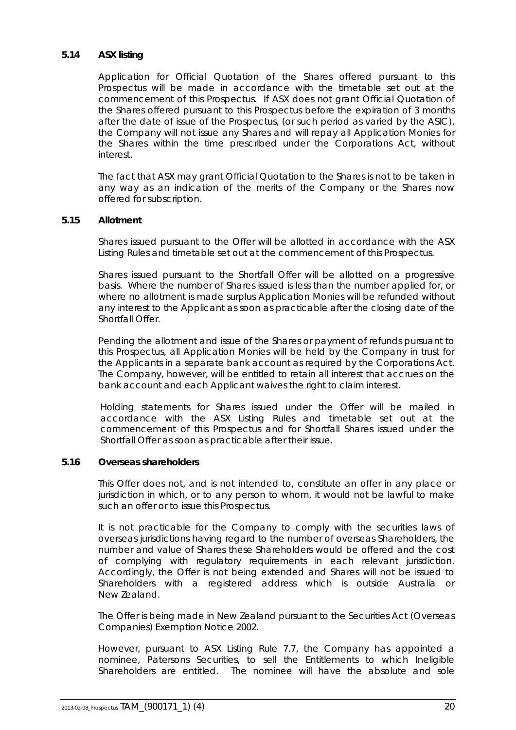### **5.14 ASX listing**

Application for Official Quotation of the Shares offered pursuant to this Prospectus will be made in accordance with the timetable set out at the commencement of this Prospectus. If ASX does not grant Official Quotation of the Shares offered pursuant to this Prospectus before the expiration of 3 months after the date of issue of the Prospectus, (or such period as varied by the ASIC), the Company will not issue any Shares and will repay all Application Monies for the Shares within the time prescribed under the Corporations Act, without interest.

The fact that ASX may grant Official Quotation to the Shares is not to be taken in any way as an indication of the merits of the Company or the Shares now offered for subscription.

### **5.15 Allotment**

Shares issued pursuant to the Offer will be allotted in accordance with the ASX Listing Rules and timetable set out at the commencement of this Prospectus.

Shares issued pursuant to the Shortfall Offer will be allotted on a progressive basis. Where the number of Shares issued is less than the number applied for, or where no allotment is made surplus Application Monies will be refunded without any interest to the Applicant as soon as practicable after the closing date of the Shortfall Offer.

Pending the allotment and issue of the Shares or payment of refunds pursuant to this Prospectus, all Application Monies will be held by the Company in trust for the Applicants in a separate bank account as required by the Corporations Act. The Company, however, will be entitled to retain all interest that accrues on the bank account and each Applicant waives the right to claim interest.

Holding statements for Shares issued under the Offer will be mailed in accordance with the ASX Listing Rules and timetable set out at the commencement of this Prospectus and for Shortfall Shares issued under the Shortfall Offer as soon as practicable after their issue.

### <span id="page-21-0"></span>**5.16 Overseas shareholders**

This Offer does not, and is not intended to, constitute an offer in any place or jurisdiction in which, or to any person to whom, it would not be lawful to make such an offer or to issue this Prospectus.

It is not practicable for the Company to comply with the securities laws of overseas jurisdictions having regard to the number of overseas Shareholders, the number and value of Shares these Shareholders would be offered and the cost of complying with regulatory requirements in each relevant jurisdiction. Accordingly, the Offer is not being extended and Shares will not be issued to Shareholders with a registered address which is outside Australia or New Zealand.

The Offer is being made in New Zealand pursuant to the Securities Act (Overseas Companies) Exemption Notice 2002.

However, pursuant to ASX Listing Rule 7.7, the Company has appointed a nominee, Patersons Securities, to sell the Entitlements to which Ineligible Shareholders are entitled. The nominee will have the absolute and sole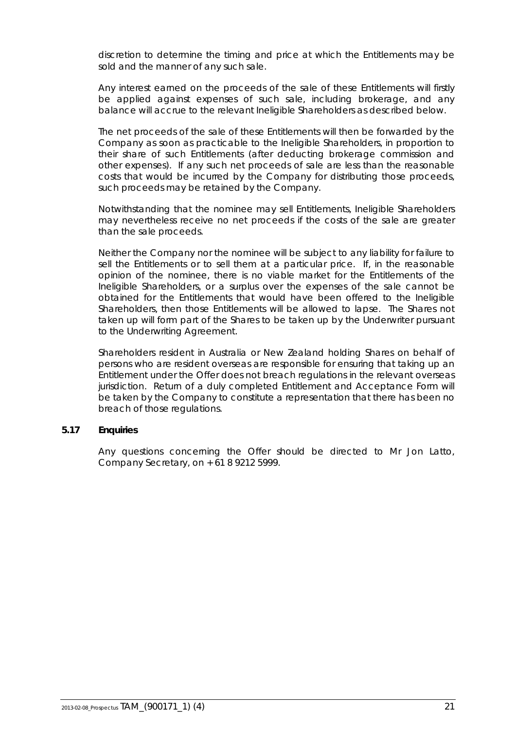discretion to determine the timing and price at which the Entitlements may be sold and the manner of any such sale.

Any interest earned on the proceeds of the sale of these Entitlements will firstly be applied against expenses of such sale, including brokerage, and any balance will accrue to the relevant Ineligible Shareholders as described below.

The net proceeds of the sale of these Entitlements will then be forwarded by the Company as soon as practicable to the Ineligible Shareholders, in proportion to their share of such Entitlements (after deducting brokerage commission and other expenses). If any such net proceeds of sale are less than the reasonable costs that would be incurred by the Company for distributing those proceeds, such proceeds may be retained by the Company.

Notwithstanding that the nominee may sell Entitlements, Ineligible Shareholders may nevertheless receive no net proceeds if the costs of the sale are greater than the sale proceeds.

Neither the Company nor the nominee will be subject to any liability for failure to sell the Entitlements or to sell them at a particular price. If, in the reasonable opinion of the nominee, there is no viable market for the Entitlements of the Ineligible Shareholders, or a surplus over the expenses of the sale cannot be obtained for the Entitlements that would have been offered to the Ineligible Shareholders, then those Entitlements will be allowed to lapse. The Shares not taken up will form part of the Shares to be taken up by the Underwriter pursuant to the Underwriting Agreement.

Shareholders resident in Australia or New Zealand holding Shares on behalf of persons who are resident overseas are responsible for ensuring that taking up an Entitlement under the Offer does not breach regulations in the relevant overseas jurisdiction. Return of a duly completed Entitlement and Acceptance Form will be taken by the Company to constitute a representation that there has been no breach of those regulations.

### **5.17 Enquiries**

Any questions concerning the Offer should be directed to Mr Jon Latto, Company Secretary, on + 61 8 9212 5999.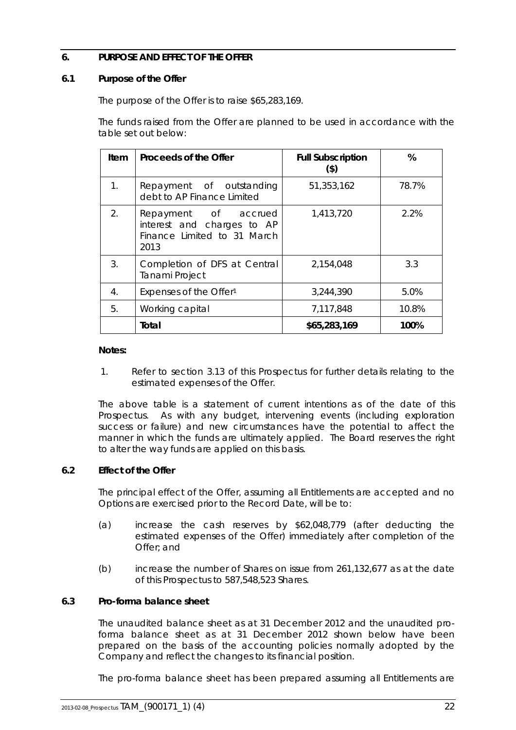### <span id="page-23-0"></span>**6. PURPOSE AND EFFECT OF THE OFFER**

### <span id="page-23-1"></span>**6.1 Purpose of the Offer**

The purpose of the Offer is to raise \$65,283,169.

The funds raised from the Offer are planned to be used in accordance with the table set out below:

| ltem                 | Proceeds of the Offer                                                                     | <b>Full Subscription</b><br>$($ \$) | %     |
|----------------------|-------------------------------------------------------------------------------------------|-------------------------------------|-------|
| $\mathbf{1}_{\cdot}$ | Repayment of outstanding<br>debt to AP Finance Limited                                    | 51,353,162                          | 78.7% |
| 2 <sub>1</sub>       | Repayment of accrued<br>interest and charges to AP<br>Finance Limited to 31 March<br>2013 | 1,413,720                           | 2.2%  |
| 3.                   | Completion of DFS at Central<br>Tanami Project                                            | 2,154,048                           | 3.3   |
| 4.                   | Expenses of the Offer <sup>1</sup>                                                        | 3,244,390                           | 5.0%  |
| 5.                   | Working capital                                                                           | 7,117,848                           | 10.8% |
|                      | Total                                                                                     | \$65,283,169                        | 100%  |

### **Notes:**

1. Refer to section [3.13](#page-12-0) of this Prospectus for further details relating to the estimated expenses of the Offer.

The above table is a statement of current intentions as of the date of this Prospectus. As with any budget, intervening events (including exploration success or failure) and new circumstances have the potential to affect the manner in which the funds are ultimately applied. The Board reserves the right to alter the way funds are applied on this basis.

### **6.2 Effect of the Offer**

The principal effect of the Offer, assuming all Entitlements are accepted and no Options are exercised prior to the Record Date, will be to:

- (a) increase the cash reserves by \$62,048,779 (after deducting the estimated expenses of the Offer) immediately after completion of the Offer; and
- (b) increase the number of Shares on issue from 261,132,677 as at the date of this Prospectus to 587,548,523 Shares.

### **6.3 Pro-forma balance sheet**

The unaudited balance sheet as at 31 December 2012 and the unaudited proforma balance sheet as at 31 December 2012 shown below have been prepared on the basis of the accounting policies normally adopted by the Company and reflect the changes to its financial position.

The pro-forma balance sheet has been prepared assuming all Entitlements are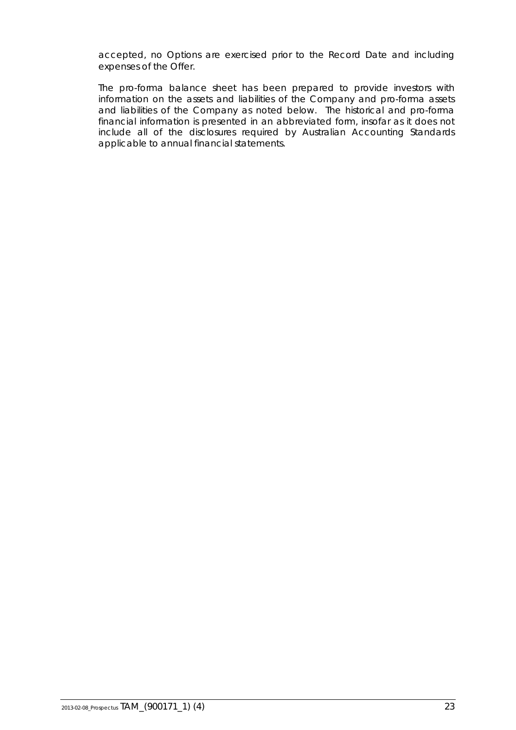accepted, no Options are exercised prior to the Record Date and including expenses of the Offer.

The pro-forma balance sheet has been prepared to provide investors with information on the assets and liabilities of the Company and pro-forma assets and liabilities of the Company as noted below. The historical and pro-forma financial information is presented in an abbreviated form, insofar as it does not include all of the disclosures required by Australian Accounting Standards applicable to annual financial statements.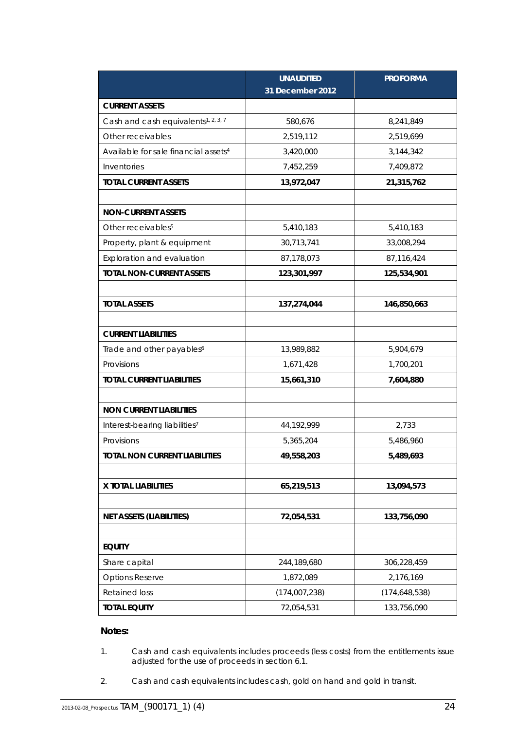|                                                  | <b>UNAUDITED</b><br>31 December 2012 | <b>PROFORMA</b> |
|--------------------------------------------------|--------------------------------------|-----------------|
| <b>CURRENT ASSETS</b>                            |                                      |                 |
| Cash and cash equivalents <sup>1, 2, 3, 7</sup>  | 580,676                              | 8,241,849       |
| Other receivables                                | 2,519,112                            | 2,519,699       |
| Available for sale financial assets <sup>4</sup> | 3,420,000                            | 3,144,342       |
| Inventories                                      | 7,452,259                            | 7,409,872       |
| <b>TOTAL CURRENT ASSETS</b>                      | 13,972,047                           | 21,315,762      |
|                                                  |                                      |                 |
| <b>NON-CURRENT ASSETS</b>                        |                                      |                 |
| Other receivables <sup>5</sup>                   | 5,410,183                            | 5,410,183       |
| Property, plant & equipment                      | 30,713,741                           | 33,008,294      |
| Exploration and evaluation                       | 87,178,073                           | 87,116,424      |
| <b>TOTAL NON-CURRENT ASSETS</b>                  | 123,301,997                          | 125,534,901     |
|                                                  |                                      |                 |
| <b>TOTAL ASSETS</b>                              | 137,274,044                          | 146,850,663     |
|                                                  |                                      |                 |
| <b>CURRENT LIABILITIES</b>                       |                                      |                 |
| Trade and other payables <sup>6</sup>            | 13,989,882                           | 5,904,679       |
| Provisions                                       | 1,671,428                            | 1,700,201       |
| <b>TOTAL CURRENT LIABILITIES</b>                 | 15,661,310                           | 7,604,880       |
|                                                  |                                      |                 |
| <b>NON CURRENT LIABILITIES</b>                   |                                      |                 |
| Interest-bearing liabilities <sup>7</sup>        | 44,192,999                           | 2,733           |
| Provisions                                       | 5,365,204                            | 5,486,960       |
| <b>TOTAL NON CURRENT LIABILITIES</b>             | 49,558,203                           | 5,489,693       |
|                                                  |                                      |                 |
| X TOTAL LIABILITIES                              | 65,219,513                           | 13,094,573      |
|                                                  |                                      |                 |
| <b>NET ASSETS (LIABILITIES)</b>                  | 72,054,531                           | 133,756,090     |
|                                                  |                                      |                 |
| <b>EQUITY</b>                                    |                                      |                 |
| Share capital                                    | 244,189,680                          | 306,228,459     |
| <b>Options Reserve</b>                           | 1,872,089                            | 2,176,169       |
| <b>Retained loss</b>                             | (174,007,238)                        | (174, 648, 538) |
| <b>TOTAL EQUITY</b>                              | 72,054,531                           | 133,756,090     |

### **Notes:**

- 1. Cash and cash equivalents includes proceeds (less costs) from the entitlements issue adjusted for the use of proceeds in section 6.1.
- 2. Cash and cash equivalents includes cash, gold on hand and gold in transit.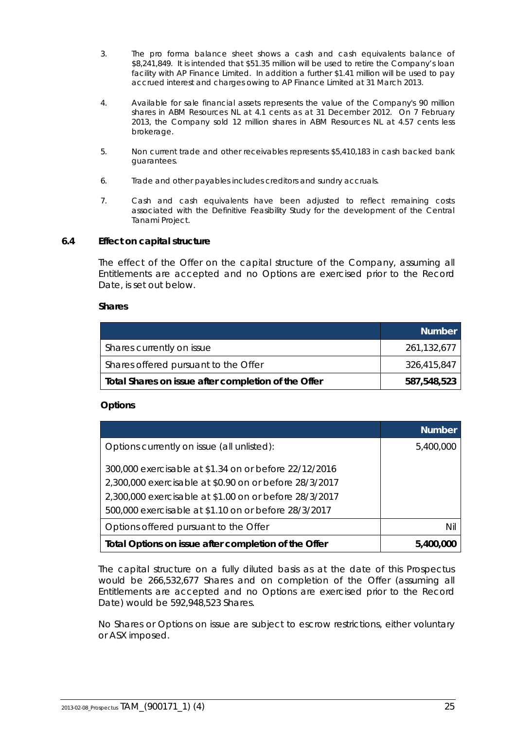- 3. The pro forma balance sheet shows a cash and cash equivalents balance of \$8,241,849. It is intended that \$51.35 million will be used to retire the Company's loan facility with AP Finance Limited. In addition a further \$1.41 million will be used to pay accrued interest and charges owing to AP Finance Limited at 31 March 2013.
- 4. Available for sale financial assets represents the value of the Company's 90 million shares in ABM Resources NL at 4.1 cents as at 31 December 2012. On 7 February 2013, the Company sold 12 million shares in ABM Resources NL at 4.57 cents less brokerage.
- 5. Non current trade and other receivables represents \$5,410,183 in cash backed bank guarantees.
- 6. Trade and other payables includes creditors and sundry accruals.
- 7. Cash and cash equivalents have been adjusted to reflect remaining costs associated with the Definitive Feasibility Study for the development of the Central Tanami Project.

### <span id="page-26-0"></span>**6.4 Effect on capital structure**

The effect of the Offer on the capital structure of the Company, assuming all Entitlements are accepted and no Options are exercised prior to the Record Date, is set out below.

#### **Shares**

|                                                     | <b>Number</b> |
|-----------------------------------------------------|---------------|
| Shares currently on issue                           | 261,132,677   |
| Shares offered pursuant to the Offer                | 326,415,847   |
| Total Shares on issue after completion of the Offer | 587,548,523   |

### **Options**

|                                                        | <b>Number</b> |
|--------------------------------------------------------|---------------|
| Options currently on issue (all unlisted):             | 5,400,000     |
| 300,000 exercisable at \$1.34 on or before 22/12/2016  |               |
| 2,300,000 exercisable at \$0.90 on or before 28/3/2017 |               |
| 2,300,000 exercisable at \$1.00 on or before 28/3/2017 |               |
| 500,000 exercisable at \$1.10 on or before 28/3/2017   |               |
| Options offered pursuant to the Offer                  | Nil           |
| Total Options on issue after completion of the Offer   | 5,400,000     |

The capital structure on a fully diluted basis as at the date of this Prospectus would be 266,532,677 Shares and on completion of the Offer (assuming all Entitlements are accepted and no Options are exercised prior to the Record Date) would be 592,948,523 Shares.

No Shares or Options on issue are subject to escrow restrictions, either voluntary or ASX imposed.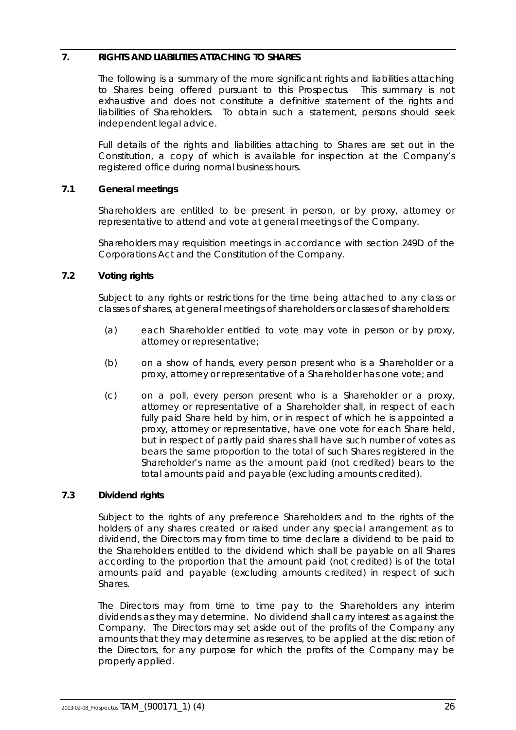### <span id="page-27-0"></span>**7. RIGHTS AND LIABILITIES ATTACHING TO SHARES**

The following is a summary of the more significant rights and liabilities attaching to Shares being offered pursuant to this Prospectus. This summary is not exhaustive and does not constitute a definitive statement of the rights and liabilities of Shareholders. To obtain such a statement, persons should seek independent legal advice.

Full details of the rights and liabilities attaching to Shares are set out in the Constitution, a copy of which is available for inspection at the Company's registered office during normal business hours.

### **7.1 General meetings**

Shareholders are entitled to be present in person, or by proxy, attorney or representative to attend and vote at general meetings of the Company.

Shareholders may requisition meetings in accordance with section 249D of the Corporations Act and the Constitution of the Company.

### **7.2 Voting rights**

Subject to any rights or restrictions for the time being attached to any class or classes of shares, at general meetings of shareholders or classes of shareholders:

- (a) each Shareholder entitled to vote may vote in person or by proxy, attorney or representative;
- (b) on a show of hands, every person present who is a Shareholder or a proxy, attorney or representative of a Shareholder has one vote; and
- (c) on a poll, every person present who is a Shareholder or a proxy, attorney or representative of a Shareholder shall, in respect of each fully paid Share held by him, or in respect of which he is appointed a proxy, attorney or representative, have one vote for each Share held, but in respect of partly paid shares shall have such number of votes as bears the same proportion to the total of such Shares registered in the Shareholder's name as the amount paid (not credited) bears to the total amounts paid and payable (excluding amounts credited).

### **7.3 Dividend rights**

Subject to the rights of any preference Shareholders and to the rights of the holders of any shares created or raised under any special arrangement as to dividend, the Directors may from time to time declare a dividend to be paid to the Shareholders entitled to the dividend which shall be payable on all Shares according to the proportion that the amount paid (not credited) is of the total amounts paid and payable (excluding amounts credited) in respect of such Shares.

The Directors may from time to time pay to the Shareholders any interim dividends as they may determine. No dividend shall carry interest as against the Company. The Directors may set aside out of the profits of the Company any amounts that they may determine as reserves, to be applied at the discretion of the Directors, for any purpose for which the profits of the Company may be properly applied.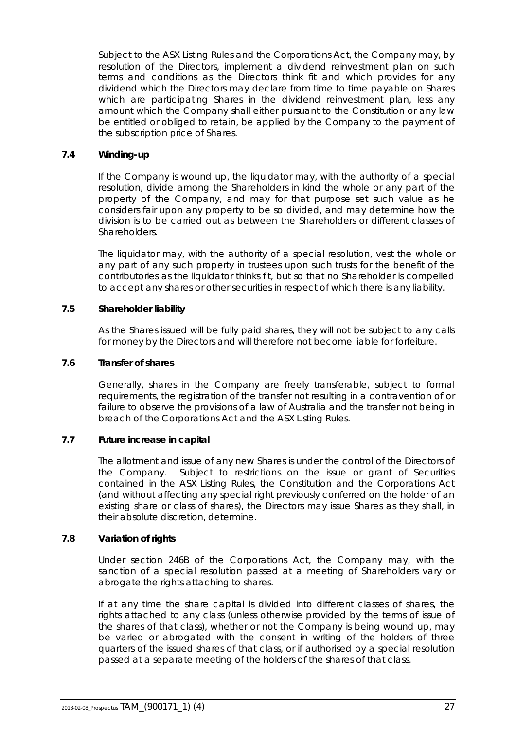Subject to the ASX Listing Rules and the Corporations Act, the Company may, by resolution of the Directors, implement a dividend reinvestment plan on such terms and conditions as the Directors think fit and which provides for any dividend which the Directors may declare from time to time payable on Shares which are participating Shares in the dividend reinvestment plan, less any amount which the Company shall either pursuant to the Constitution or any law be entitled or obliged to retain, be applied by the Company to the payment of the subscription price of Shares.

### **7.4 Winding-up**

If the Company is wound up, the liquidator may, with the authority of a special resolution, divide among the Shareholders in kind the whole or any part of the property of the Company, and may for that purpose set such value as he considers fair upon any property to be so divided, and may determine how the division is to be carried out as between the Shareholders or different classes of Shareholders.

The liquidator may, with the authority of a special resolution, vest the whole or any part of any such property in trustees upon such trusts for the benefit of the contributories as the liquidator thinks fit, but so that no Shareholder is compelled to accept any shares or other securities in respect of which there is any liability.

### **7.5 Shareholder liability**

As the Shares issued will be fully paid shares, they will not be subject to any calls for money by the Directors and will therefore not become liable for forfeiture.

### **7.6 Transfer of shares**

Generally, shares in the Company are freely transferable, subject to formal requirements, the registration of the transfer not resulting in a contravention of or failure to observe the provisions of a law of Australia and the transfer not being in breach of the Corporations Act and the ASX Listing Rules.

### **7.7 Future increase in capital**

The allotment and issue of any new Shares is under the control of the Directors of the Company. Subject to restrictions on the issue or grant of Securities contained in the ASX Listing Rules, the Constitution and the Corporations Act (and without affecting any special right previously conferred on the holder of an existing share or class of shares), the Directors may issue Shares as they shall, in their absolute discretion, determine.

### **7.8 Variation of rights**

Under section 246B of the Corporations Act, the Company may, with the sanction of a special resolution passed at a meeting of Shareholders vary or abrogate the rights attaching to shares.

If at any time the share capital is divided into different classes of shares, the rights attached to any class (unless otherwise provided by the terms of issue of the shares of that class), whether or not the Company is being wound up, may be varied or abrogated with the consent in writing of the holders of three quarters of the issued shares of that class, or if authorised by a special resolution passed at a separate meeting of the holders of the shares of that class.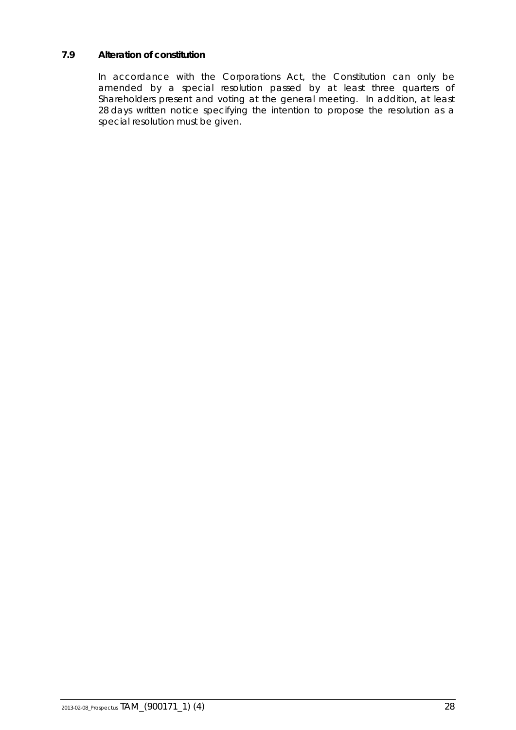# **7.9 Alteration of constitution**

In accordance with the Corporations Act, the Constitution can only be amended by a special resolution passed by at least three quarters of Shareholders present and voting at the general meeting. In addition, at least 28 days written notice specifying the intention to propose the resolution as a special resolution must be given.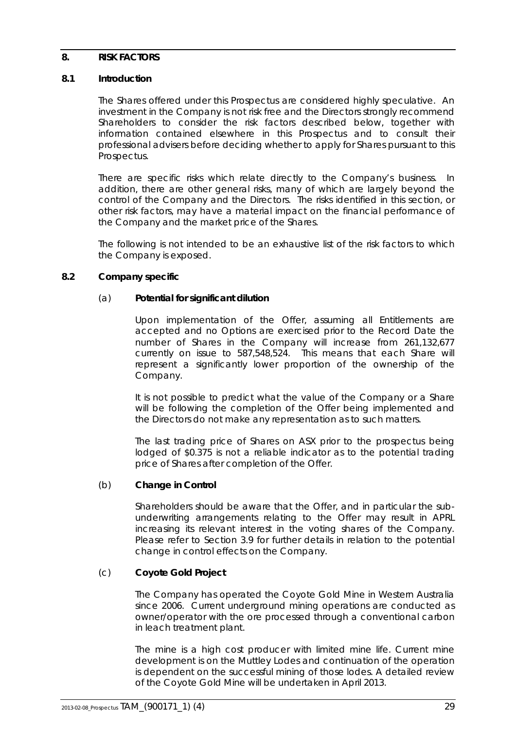### <span id="page-30-0"></span>**8. RISK FACTORS**

### **8.1 Introduction**

The Shares offered under this Prospectus are considered highly speculative. An investment in the Company is not risk free and the Directors strongly recommend Shareholders to consider the risk factors described below, together with information contained elsewhere in this Prospectus and to consult their professional advisers before deciding whether to apply for Shares pursuant to this Prospectus.

There are specific risks which relate directly to the Company's business. In addition, there are other general risks, many of which are largely beyond the control of the Company and the Directors. The risks identified in this section, or other risk factors, may have a material impact on the financial performance of the Company and the market price of the Shares.

The following is not intended to be an exhaustive list of the risk factors to which the Company is exposed.

### <span id="page-30-1"></span>**8.2 Company specific**

#### (a) **Potential for significant dilution**

Upon implementation of the Offer, assuming all Entitlements are accepted and no Options are exercised prior to the Record Date the number of Shares in the Company will increase from 261,132,677 currently on issue to 587,548,524. This means that each Share will represent a significantly lower proportion of the ownership of the Company.

It is not possible to predict what the value of the Company or a Share will be following the completion of the Offer being implemented and the Directors do not make any representation as to such matters.

The last trading price of Shares on ASX prior to the prospectus being lodged of \$0.375 is not a reliable indicator as to the potential trading price of Shares after completion of the Offer.

### (b) **Change in Control**

Shareholders should be aware that the Offer, and in particular the subunderwriting arrangements relating to the Offer may result in APRL increasing its relevant interest in the voting shares of the Company. Please refer to Section [3.9](#page-10-0) for further details in relation to the potential change in control effects on the Company.

### (c) **Coyote Gold Project**

The Company has operated the Coyote Gold Mine in Western Australia since 2006. Current underground mining operations are conducted as owner/operator with the ore processed through a conventional carbon in leach treatment plant.

The mine is a high cost producer with limited mine life. Current mine development is on the Muttley Lodes and continuation of the operation is dependent on the successful mining of those lodes. A detailed review of the Coyote Gold Mine will be undertaken in April 2013.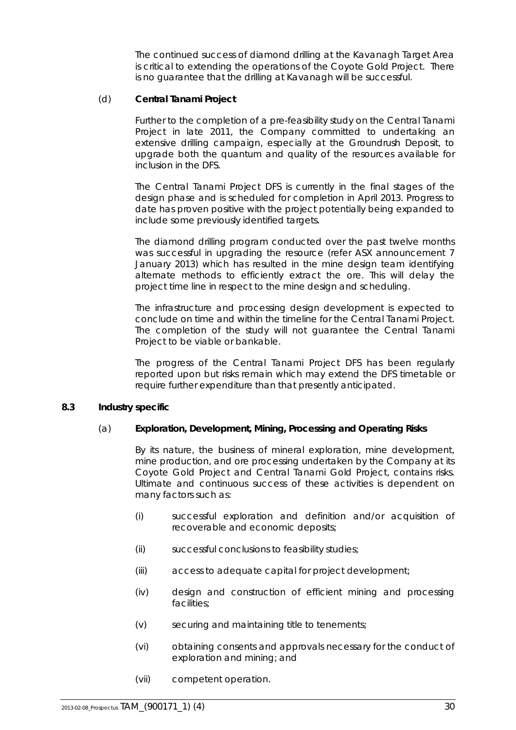The continued success of diamond drilling at the Kavanagh Target Area is critical to extending the operations of the Coyote Gold Project. There is no guarantee that the drilling at Kavanagh will be successful.

### (d) **Central Tanami Project**

Further to the completion of a pre-feasibility study on the Central Tanami Project in late 2011, the Company committed to undertaking an extensive drilling campaign, especially at the Groundrush Deposit, to upgrade both the quantum and quality of the resources available for inclusion in the DFS.

The Central Tanami Project DFS is currently in the final stages of the design phase and is scheduled for completion in April 2013. Progress to date has proven positive with the project potentially being expanded to include some previously identified targets.

The diamond drilling program conducted over the past twelve months was successful in upgrading the resource (refer ASX announcement 7 January 2013) which has resulted in the mine design team identifying alternate methods to efficiently extract the ore. This will delay the project time line in respect to the mine design and scheduling.

The infrastructure and processing design development is expected to conclude on time and within the timeline for the Central Tanami Project. The completion of the study will not guarantee the Central Tanami Project to be viable or bankable.

The progress of the Central Tanami Project DFS has been regularly reported upon but risks remain which may extend the DFS timetable or require further expenditure than that presently anticipated.

### <span id="page-31-0"></span>**8.3 Industry specific**

### (a) **Exploration, Development, Mining, Processing and Operating Risks**

By its nature, the business of mineral exploration, mine development, mine production, and ore processing undertaken by the Company at its Coyote Gold Project and Central Tanami Gold Project, contains risks. Ultimate and continuous success of these activities is dependent on many factors such as:

- (i) successful exploration and definition and/or acquisition of recoverable and economic deposits;
- (ii) successful conclusions to feasibility studies;
- (iii) access to adequate capital for project development;
- (iv) design and construction of efficient mining and processing facilities;
- (v) securing and maintaining title to tenements;
- (vi) obtaining consents and approvals necessary for the conduct of exploration and mining; and
- (vii) competent operation.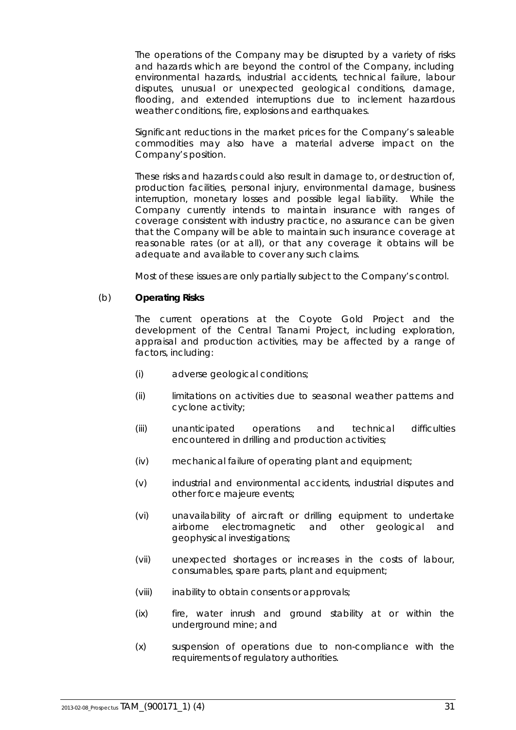The operations of the Company may be disrupted by a variety of risks and hazards which are beyond the control of the Company, including environmental hazards, industrial accidents, technical failure, labour disputes, unusual or unexpected geological conditions, damage, flooding, and extended interruptions due to inclement hazardous weather conditions, fire, explosions and earthquakes.

Significant reductions in the market prices for the Company's saleable commodities may also have a material adverse impact on the Company's position.

These risks and hazards could also result in damage to, or destruction of, production facilities, personal injury, environmental damage, business interruption, monetary losses and possible legal liability. While the Company currently intends to maintain insurance with ranges of coverage consistent with industry practice, no assurance can be given that the Company will be able to maintain such insurance coverage at reasonable rates (or at all), or that any coverage it obtains will be adequate and available to cover any such claims.

Most of these issues are only partially subject to the Company's control.

### (b) **Operating Risks**

The current operations at the Coyote Gold Project and the development of the Central Tanami Project, including exploration, appraisal and production activities, may be affected by a range of factors, including:

- (i) adverse geological conditions;
- (ii) limitations on activities due to seasonal weather patterns and cyclone activity;
- (iii) unanticipated operations and technical difficulties encountered in drilling and production activities;
- (iv) mechanical failure of operating plant and equipment;
- (v) industrial and environmental accidents, industrial disputes and other force majeure events;
- (vi) unavailability of aircraft or drilling equipment to undertake airborne electromagnetic and other geological and geophysical investigations;
- (vii) unexpected shortages or increases in the costs of labour, consumables, spare parts, plant and equipment;
- (viii) inability to obtain consents or approvals;
- (ix) fire, water inrush and ground stability at or within the underground mine; and
- (x) suspension of operations due to non-compliance with the requirements of regulatory authorities.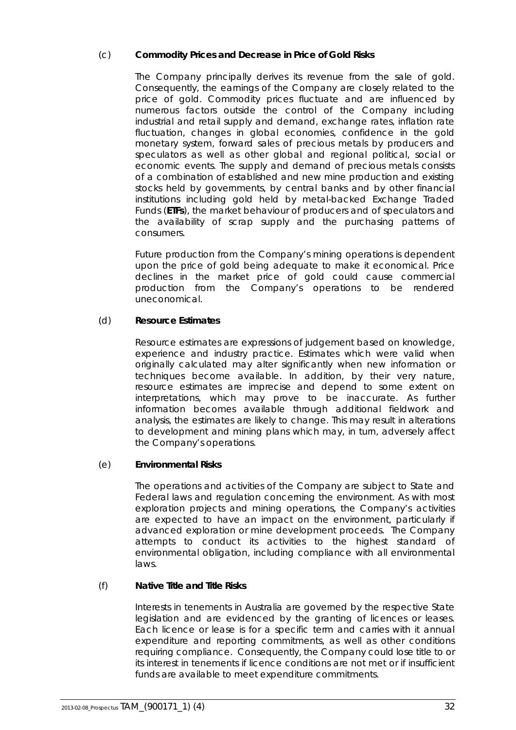# (c) **Commodity Prices and Decrease in Price of Gold Risks**

The Company principally derives its revenue from the sale of gold. Consequently, the earnings of the Company are closely related to the price of gold. Commodity prices fluctuate and are influenced by numerous factors outside the control of the Company including industrial and retail supply and demand, exchange rates, inflation rate fluctuation, changes in global economies, confidence in the gold monetary system, forward sales of precious metals by producers and speculators as well as other global and regional political, social or economic events. The supply and demand of precious metals consists of a combination of established and new mine production and existing stocks held by governments, by central banks and by other financial institutions including gold held by metal-backed Exchange Traded Funds (**ETFs**), the market behaviour of producers and of speculators and the availability of scrap supply and the purchasing patterns of consumers.

Future production from the Company's mining operations is dependent upon the price of gold being adequate to make it economical. Price declines in the market price of gold could cause commercial production from the Company's operations to be rendered uneconomical.

### (d) **Resource Estimates**

Resource estimates are expressions of judgement based on knowledge, experience and industry practice. Estimates which were valid when originally calculated may alter significantly when new information or techniques become available. In addition, by their very nature, resource estimates are imprecise and depend to some extent on interpretations, which may prove to be inaccurate. As further information becomes available through additional fieldwork and analysis, the estimates are likely to change. This may result in alterations to development and mining plans which may, in turn, adversely affect the Company's operations.

### (e) **Environmental Risks**

The operations and activities of the Company are subject to State and Federal laws and regulation concerning the environment. As with most exploration projects and mining operations, the Company's activities are expected to have an impact on the environment, particularly if advanced exploration or mine development proceeds. The Company attempts to conduct its activities to the highest standard of environmental obligation, including compliance with all environmental laws.

### (f) **Native Title and Title Risks**

Interests in tenements in Australia are governed by the respective State legislation and are evidenced by the granting of licences or leases. Each licence or lease is for a specific term and carries with it annual expenditure and reporting commitments, as well as other conditions requiring compliance. Consequently, the Company could lose title to or its interest in tenements if licence conditions are not met or if insufficient funds are available to meet expenditure commitments.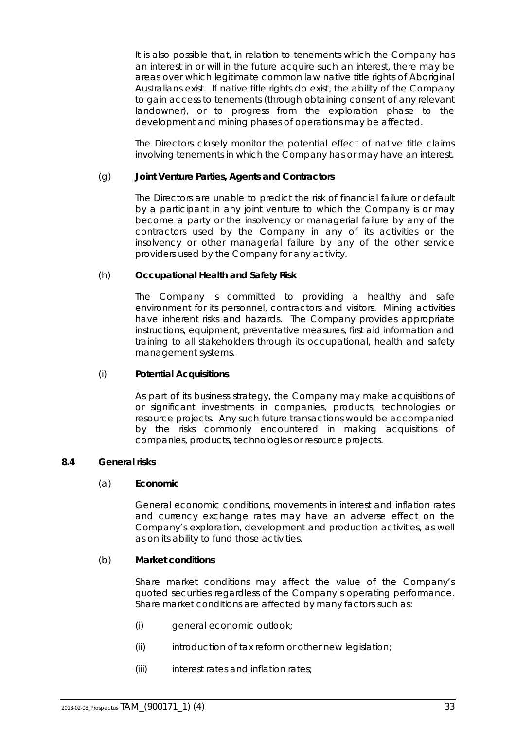It is also possible that, in relation to tenements which the Company has an interest in or will in the future acquire such an interest, there may be areas over which legitimate common law native title rights of Aboriginal Australians exist. If native title rights do exist, the ability of the Company to gain access to tenements (through obtaining consent of any relevant landowner), or to progress from the exploration phase to the development and mining phases of operations may be affected.

The Directors closely monitor the potential effect of native title claims involving tenements in which the Company has or may have an interest.

### (g) **Joint Venture Parties, Agents and Contractors**

The Directors are unable to predict the risk of financial failure or default by a participant in any joint venture to which the Company is or may become a party or the insolvency or managerial failure by any of the contractors used by the Company in any of its activities or the insolvency or other managerial failure by any of the other service providers used by the Company for any activity.

### (h) **Occupational Health and Safety Risk**

The Company is committed to providing a healthy and safe environment for its personnel, contractors and visitors. Mining activities have inherent risks and hazards. The Company provides appropriate instructions, equipment, preventative measures, first aid information and training to all stakeholders through its occupational, health and safety management systems.

### (i) **Potential Acquisitions**

As part of its business strategy, the Company may make acquisitions of or significant investments in companies, products, technologies or resource projects. Any such future transactions would be accompanied by the risks commonly encountered in making acquisitions of companies, products, technologies or resource projects.

### <span id="page-34-0"></span>**8.4 General risks**

### (a) **Economic**

General economic conditions, movements in interest and inflation rates and currency exchange rates may have an adverse effect on the Company's exploration, development and production activities, as well as on its ability to fund those activities.

### (b) **Market conditions**

Share market conditions may affect the value of the Company's quoted securities regardless of the Company's operating performance. Share market conditions are affected by many factors such as:

- (i) general economic outlook;
- (ii) introduction of tax reform or other new legislation;
- (iii) interest rates and inflation rates;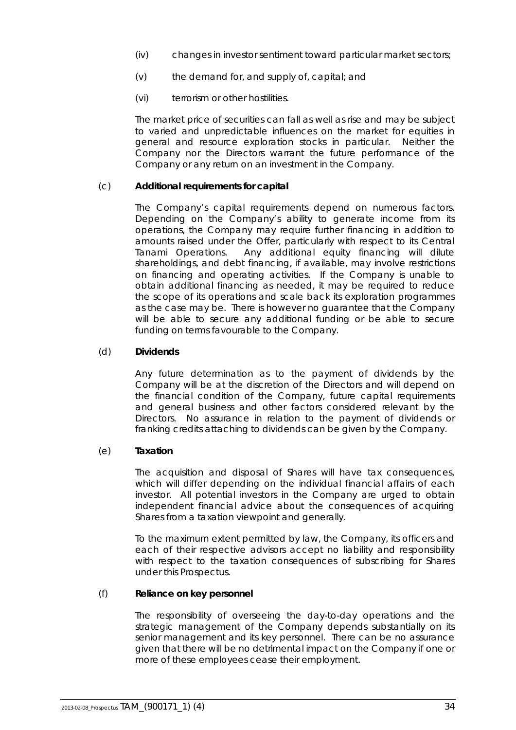- (iv) changes in investor sentiment toward particular market sectors;
- (v) the demand for, and supply of, capital; and
- (vi) terrorism or other hostilities.

The market price of securities can fall as well as rise and may be subject to varied and unpredictable influences on the market for equities in general and resource exploration stocks in particular. Neither the Company nor the Directors warrant the future performance of the Company or any return on an investment in the Company.

### (c) **Additional requirements for capital**

The Company's capital requirements depend on numerous factors. Depending on the Company's ability to generate income from its operations, the Company may require further financing in addition to amounts raised under the Offer, particularly with respect to its Central Tanami Operations. Any additional equity financing will dilute shareholdings, and debt financing, if available, may involve restrictions on financing and operating activities. If the Company is unable to obtain additional financing as needed, it may be required to reduce the scope of its operations and scale back its exploration programmes as the case may be. There is however no guarantee that the Company will be able to secure any additional funding or be able to secure funding on terms favourable to the Company.

### (d) **Dividends**

Any future determination as to the payment of dividends by the Company will be at the discretion of the Directors and will depend on the financial condition of the Company, future capital requirements and general business and other factors considered relevant by the Directors. No assurance in relation to the payment of dividends or franking credits attaching to dividends can be given by the Company.

### (e) **Taxation**

The acquisition and disposal of Shares will have tax consequences, which will differ depending on the individual financial affairs of each investor. All potential investors in the Company are urged to obtain independent financial advice about the consequences of acquiring Shares from a taxation viewpoint and generally.

To the maximum extent permitted by law, the Company, its officers and each of their respective advisors accept no liability and responsibility with respect to the taxation consequences of subscribing for Shares under this Prospectus.

### (f) **Reliance on key personnel**

The responsibility of overseeing the day-to-day operations and the strategic management of the Company depends substantially on its senior management and its key personnel. There can be no assurance given that there will be no detrimental impact on the Company if one or more of these employees cease their employment.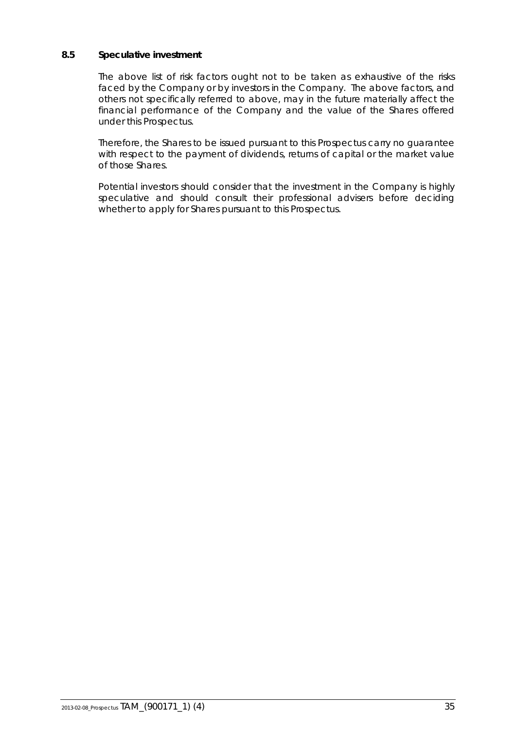### **8.5 Speculative investment**

The above list of risk factors ought not to be taken as exhaustive of the risks faced by the Company or by investors in the Company. The above factors, and others not specifically referred to above, may in the future materially affect the financial performance of the Company and the value of the Shares offered under this Prospectus.

Therefore, the Shares to be issued pursuant to this Prospectus carry no guarantee with respect to the payment of dividends, returns of capital or the market value of those Shares.

Potential investors should consider that the investment in the Company is highly speculative and should consult their professional advisers before deciding whether to apply for Shares pursuant to this Prospectus.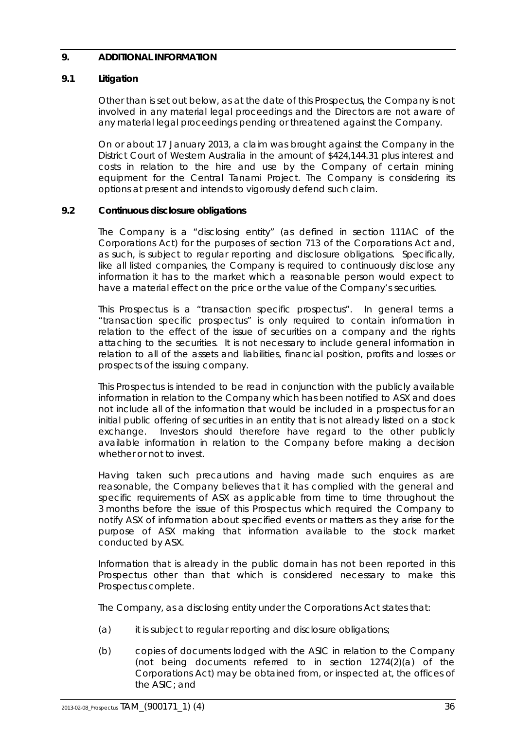### <span id="page-37-0"></span>**9. ADDITIONAL INFORMATION**

### **9.1 Litigation**

Other than is set out below, as at the date of this Prospectus, the Company is not involved in any material legal proceedings and the Directors are not aware of any material legal proceedings pending or threatened against the Company.

On or about 17 January 2013, a claim was brought against the Company in the District Court of Western Australia in the amount of \$424,144.31 plus interest and costs in relation to the hire and use by the Company of certain mining equipment for the Central Tanami Project. The Company is considering its options at present and intends to vigorously defend such claim.

### **9.2 Continuous disclosure obligations**

The Company is a "disclosing entity" (as defined in section 111AC of the Corporations Act) for the purposes of section 713 of the Corporations Act and, as such, is subject to regular reporting and disclosure obligations. Specifically, like all listed companies, the Company is required to continuously disclose any information it has to the market which a reasonable person would expect to have a material effect on the price or the value of the Company's securities.

This Prospectus is a "transaction specific prospectus". In general terms a "transaction specific prospectus" is only required to contain information in relation to the effect of the issue of securities on a company and the rights attaching to the securities. It is not necessary to include general information in relation to all of the assets and liabilities, financial position, profits and losses or prospects of the issuing company.

This Prospectus is intended to be read in conjunction with the publicly available information in relation to the Company which has been notified to ASX and does not include all of the information that would be included in a prospectus for an initial public offering of securities in an entity that is not already listed on a stock exchange. Investors should therefore have regard to the other publicly available information in relation to the Company before making a decision whether or not to invest.

Having taken such precautions and having made such enquires as are reasonable, the Company believes that it has complied with the general and specific requirements of ASX as applicable from time to time throughout the 3 months before the issue of this Prospectus which required the Company to notify ASX of information about specified events or matters as they arise for the purpose of ASX making that information available to the stock market conducted by ASX.

Information that is already in the public domain has not been reported in this Prospectus other than that which is considered necessary to make this Prospectus complete.

The Company, as a disclosing entity under the Corporations Act states that:

- (a) it is subject to regular reporting and disclosure obligations;
- (b) copies of documents lodged with the ASIC in relation to the Company (not being documents referred to in section 1274(2)(a) of the Corporations Act) may be obtained from, or inspected at, the offices of the ASIC; and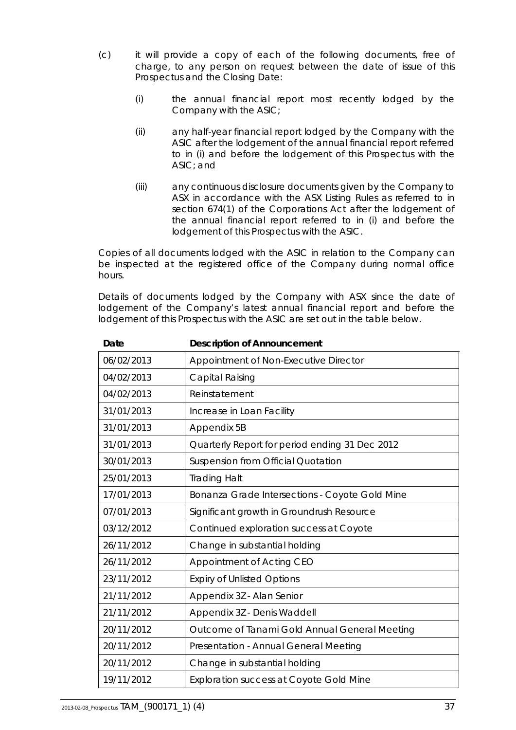- (c) it will provide a copy of each of the following documents, free of charge, to any person on request between the date of issue of this Prospectus and the Closing Date:
	- (i) the annual financial report most recently lodged by the Company with the ASIC;
	- (ii) any half-year financial report lodged by the Company with the ASIC after the lodgement of the annual financial report referred to in (i) and before the lodgement of this Prospectus with the ASIC; and
	- (iii) any continuous disclosure documents given by the Company to ASX in accordance with the ASX Listing Rules as referred to in section 674(1) of the Corporations Act after the lodgement of the annual financial report referred to in (i) and before the lodgement of this Prospectus with the ASIC.

Copies of all documents lodged with the ASIC in relation to the Company can be inspected at the registered office of the Company during normal office hours.

Details of documents lodged by the Company with ASX since the date of lodgement of the Company's latest annual financial report and before the lodgement of this Prospectus with the ASIC are set out in the table below.

| Date       | <b>Description of Announcement</b>             |
|------------|------------------------------------------------|
| 06/02/2013 | Appointment of Non-Executive Director          |
| 04/02/2013 | Capital Raising                                |
| 04/02/2013 | Reinstatement                                  |
| 31/01/2013 | Increase in Loan Facility                      |
| 31/01/2013 | Appendix 5B                                    |
| 31/01/2013 | Quarterly Report for period ending 31 Dec 2012 |
| 30/01/2013 | Suspension from Official Quotation             |
| 25/01/2013 | <b>Trading Halt</b>                            |
| 17/01/2013 | Bonanza Grade Intersections - Coyote Gold Mine |
| 07/01/2013 | Significant growth in Groundrush Resource      |
| 03/12/2012 | Continued exploration success at Coyote        |
| 26/11/2012 | Change in substantial holding                  |
| 26/11/2012 | Appointment of Acting CEO                      |
| 23/11/2012 | <b>Expiry of Unlisted Options</b>              |
| 21/11/2012 | Appendix 3Z - Alan Senior                      |
| 21/11/2012 | Appendix 3Z - Denis Waddell                    |
| 20/11/2012 | Outcome of Tanami Gold Annual General Meeting  |
| 20/11/2012 | Presentation - Annual General Meeting          |
| 20/11/2012 | Change in substantial holding                  |
| 19/11/2012 | <b>Exploration success at Coyote Gold Mine</b> |
|            |                                                |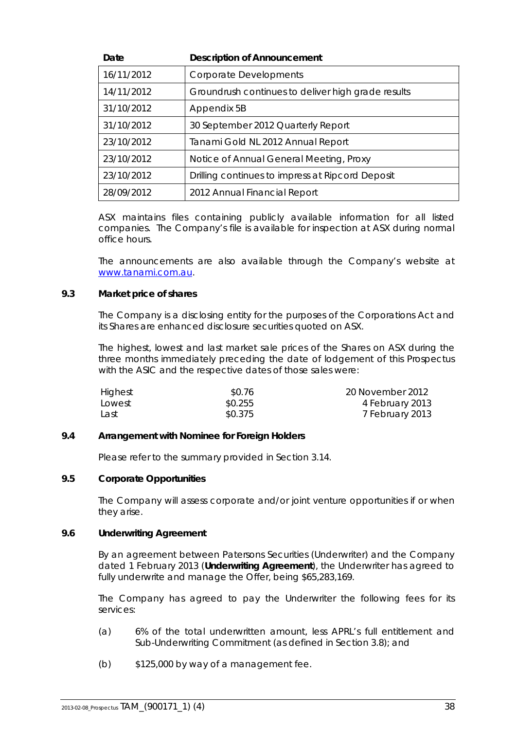| Date       | <b>Description of Announcement</b>                 |
|------------|----------------------------------------------------|
| 16/11/2012 | <b>Corporate Developments</b>                      |
| 14/11/2012 | Groundrush continues to deliver high grade results |
| 31/10/2012 | Appendix 5B                                        |
| 31/10/2012 | 30 September 2012 Quarterly Report                 |
| 23/10/2012 | Tanami Gold NL 2012 Annual Report                  |
| 23/10/2012 | Notice of Annual General Meeting, Proxy            |
| 23/10/2012 | Drilling continues to impress at Ripcord Deposit   |
| 28/09/2012 | 2012 Annual Financial Report                       |

ASX maintains files containing publicly available information for all listed companies. The Company's file is available for inspection at ASX during normal office hours.

The announcements are also available through the Company's website at [www.tanami.com.au.](http://www.tanami.com.au/)

#### **9.3 Market price of shares**

The Company is a disclosing entity for the purposes of the Corporations Act and its Shares are enhanced disclosure securities quoted on ASX.

The highest, lowest and last market sale prices of the Shares on ASX during the three months immediately preceding the date of lodgement of this Prospectus with the ASIC and the respective dates of those sales were:

| Highest | \$0.76  | 20 November 2012 |
|---------|---------|------------------|
| Lowest  | \$0.255 | 4 February 2013  |
| Last    | \$0.375 | 7 February 2013  |

#### **9.4 Arrangement with Nominee for Foreign Holders**

Please refer to the summary provided in Section [3.14.](#page-13-0)

#### **9.5 Corporate Opportunities**

The Company will assess corporate and/or joint venture opportunities if or when they arise.

#### <span id="page-39-0"></span>**9.6 Underwriting Agreement**

By an agreement between Patersons Securities (Underwriter) and the Company dated 1 February 2013 (**Underwriting Agreement**), the Underwriter has agreed to fully underwrite and manage the Offer, being \$65,283,169.

The Company has agreed to pay the Underwriter the following fees for its services:

- (a) 6% of the total underwritten amount, less APRL's full entitlement and Sub-Underwriting Commitment (as defined in Section [3.8\)](#page-9-1); and
- $(b)$   $$125,000$  by way of a management fee.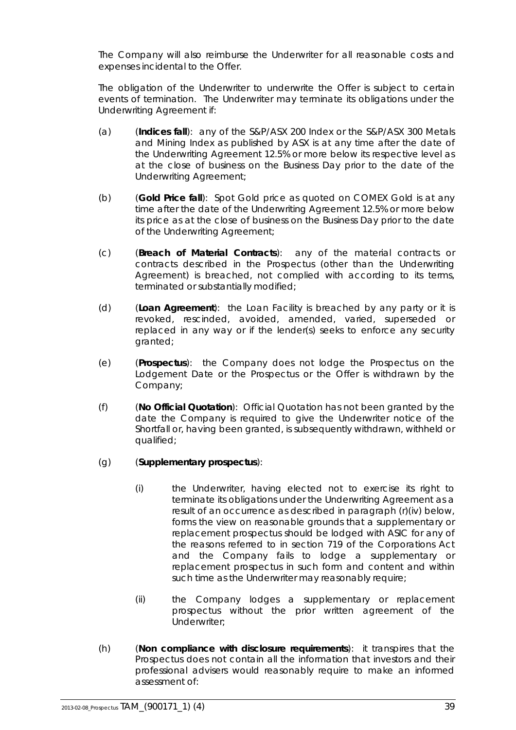The Company will also reimburse the Underwriter for all reasonable costs and expenses incidental to the Offer.

The obligation of the Underwriter to underwrite the Offer is subject to certain events of termination. The Underwriter may terminate its obligations under the Underwriting Agreement if:

- (a) (**Indices fall**): any of the S&P/ASX 200 Index or the S&P/ASX 300 Metals and Mining Index as published by ASX is at any time after the date of the Underwriting Agreement 12.5% or more below its respective level as at the close of business on the Business Day prior to the date of the Underwriting Agreement;
- (b) (**Gold Price fall**): Spot Gold price as quoted on COMEX Gold is at any time after the date of the Underwriting Agreement 12.5% or more below its price as at the close of business on the Business Day prior to the date of the Underwriting Agreement;
- (c) (**Breach of Material Contracts**): any of the material contracts or contracts described in the Prospectus (other than the Underwriting Agreement) is breached, not complied with according to its terms, terminated or substantially modified;
- (d) (**Loan Agreement**): the Loan Facility is breached by any party or it is revoked, rescinded, avoided, amended, varied, superseded or replaced in any way or if the lender(s) seeks to enforce any security granted;
- (e) (**Prospectus**): the Company does not lodge the Prospectus on the Lodgement Date or the Prospectus or the Offer is withdrawn by the Company;
- (f) (**No Official Quotation**): Official Quotation has not been granted by the date the Company is required to give the Underwriter notice of the Shortfall or, having been granted, is subsequently withdrawn, withheld or qualified;
- (g) (**Supplementary prospectus**):
	- (i) the Underwriter, having elected not to exercise its right to terminate its obligations under the Underwriting Agreement as a result of an occurrence as described in paragraph [\(r\)\(iv\)](#page-42-0) below, forms the view on reasonable grounds that a supplementary or replacement prospectus should be lodged with ASIC for any of the reasons referred to in section 719 of the Corporations Act and the Company fails to lodge a supplementary or replacement prospectus in such form and content and within such time as the Underwriter may reasonably require;
	- (ii) the Company lodges a supplementary or replacement prospectus without the prior written agreement of the Underwriter;
- (h) (**Non compliance with disclosure requirements**): it transpires that the Prospectus does not contain all the information that investors and their professional advisers would reasonably require to make an informed assessment of: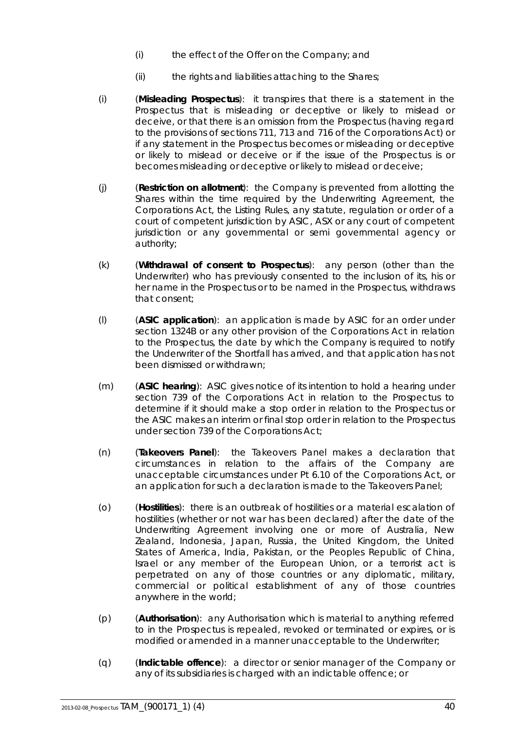- (i) the effect of the Offer on the Company; and
- (ii) the rights and liabilities attaching to the Shares;
- (i) (**Misleading Prospectus**): it transpires that there is a statement in the Prospectus that is misleading or deceptive or likely to mislead or deceive, or that there is an omission from the Prospectus (having regard to the provisions of sections 711, 713 and 716 of the Corporations Act) or if any statement in the Prospectus becomes or misleading or deceptive or likely to mislead or deceive or if the issue of the Prospectus is or becomes misleading or deceptive or likely to mislead or deceive;
- (j) (**Restriction on allotment**): the Company is prevented from allotting the Shares within the time required by the Underwriting Agreement, the Corporations Act, the Listing Rules, any statute, regulation or order of a court of competent jurisdiction by ASIC, ASX or any court of competent jurisdiction or any governmental or semi governmental agency or authority;
- (k) (**Withdrawal of consent to Prospectus**): any person (other than the Underwriter) who has previously consented to the inclusion of its, his or her name in the Prospectus or to be named in the Prospectus, withdraws that consent;
- (l) (**ASIC application**): an application is made by ASIC for an order under section 1324B or any other provision of the Corporations Act in relation to the Prospectus, the date by which the Company is required to notify the Underwriter of the Shortfall has arrived, and that application has not been dismissed or withdrawn;
- (m) (**ASIC hearing**): ASIC gives notice of its intention to hold a hearing under section 739 of the Corporations Act in relation to the Prospectus to determine if it should make a stop order in relation to the Prospectus or the ASIC makes an interim or final stop order in relation to the Prospectus under section 739 of the Corporations Act;
- (n) (**Takeovers Panel**): the Takeovers Panel makes a declaration that circumstances in relation to the affairs of the Company are unacceptable circumstances under Pt 6.10 of the Corporations Act, or an application for such a declaration is made to the Takeovers Panel;
- (o) (**Hostilities**): there is an outbreak of hostilities or a material escalation of hostilities (whether or not war has been declared) after the date of the Underwriting Agreement involving one or more of Australia, New Zealand, Indonesia, Japan, Russia, the United Kingdom, the United States of America, India, Pakistan, or the Peoples Republic of China, Israel or any member of the European Union, or a terrorist act is perpetrated on any of those countries or any diplomatic, military, commercial or political establishment of any of those countries anywhere in the world;
- (p) (**Authorisation**): any Authorisation which is material to anything referred to in the Prospectus is repealed, revoked or terminated or expires, or is modified or amended in a manner unacceptable to the Underwriter;
- (q) (**Indictable offence**): a director or senior manager of the Company or any of its subsidiaries is charged with an indictable offence; or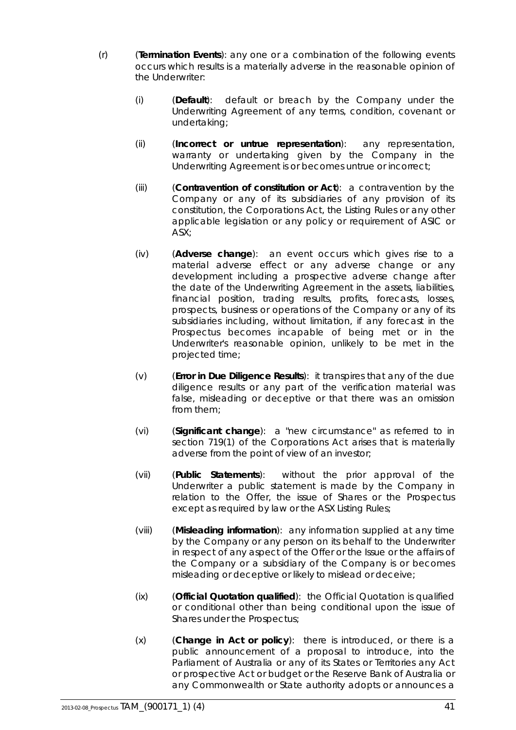- <span id="page-42-0"></span>(r) (**Termination Events**): any one or a combination of the following events occurs which results is a materially adverse in the reasonable opinion of the Underwriter:
	- (i) (**Default**): default or breach by the Company under the Underwriting Agreement of any terms, condition, covenant or undertaking;
	- (ii) (**Incorrect or untrue representation**): any representation, warranty or undertaking given by the Company in the Underwriting Agreement is or becomes untrue or incorrect;
	- (iii) (**Contravention of constitution or Act**): a contravention by the Company or any of its subsidiaries of any provision of its constitution, the Corporations Act, the Listing Rules or any other applicable legislation or any policy or requirement of ASIC or ASX;
	- (iv) (**Adverse change**): an event occurs which gives rise to a material adverse effect or any adverse change or any development including a prospective adverse change after the date of the Underwriting Agreement in the assets, liabilities, financial position, trading results, profits, forecasts, losses, prospects, business or operations of the Company or any of its subsidiaries including, without limitation, if any forecast in the Prospectus becomes incapable of being met or in the Underwriter's reasonable opinion, unlikely to be met in the projected time;
	- (v) (**Error in Due Diligence Results**): it transpires that any of the due diligence results or any part of the verification material was false, misleading or deceptive or that there was an omission from them;
	- (vi) (**Significant change**): a "new circumstance" as referred to in section 719(1) of the Corporations Act arises that is materially adverse from the point of view of an investor;
	- (vii) (**Public Statements**): without the prior approval of the Underwriter a public statement is made by the Company in relation to the Offer, the issue of Shares or the Prospectus except as required by law or the ASX Listing Rules;
	- (viii) (**Misleading information**): any information supplied at any time by the Company or any person on its behalf to the Underwriter in respect of any aspect of the Offer or the Issue or the affairs of the Company or a subsidiary of the Company is or becomes misleading or deceptive or likely to mislead or deceive;
	- (ix) (**Official Quotation qualified**): the Official Quotation is qualified or conditional other than being conditional upon the issue of Shares under the Prospectus;
	- (x) (**Change in Act or policy**): there is introduced, or there is a public announcement of a proposal to introduce, into the Parliament of Australia or any of its States or Territories any Act or prospective Act or budget or the Reserve Bank of Australia or any Commonwealth or State authority adopts or announces a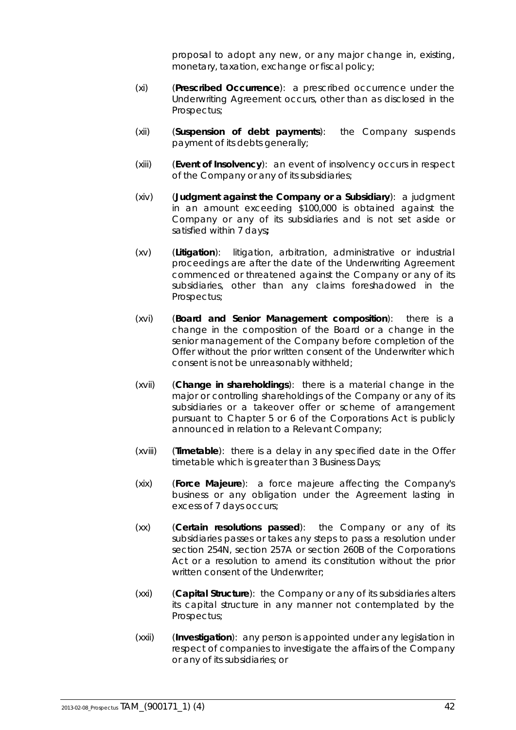proposal to adopt any new, or any major change in, existing, monetary, taxation, exchange or fiscal policy;

- (xi) (**Prescribed Occurrence**): a prescribed occurrence under the Underwriting Agreement occurs, other than as disclosed in the Prospectus;
- (xii) (**Suspension of debt payments**): the Company suspends payment of its debts generally;
- (xiii) (**Event of Insolvency**): an event of insolvency occurs in respect of the Company or any of its subsidiaries;
- (xiv) (**Judgment against the Company or a Subsidiary**): a judgment in an amount exceeding \$100,000 is obtained against the Company or any of its subsidiaries and is not set aside or satisfied within 7 days*;*
- (xv) (**Litigation**): litigation, arbitration, administrative or industrial proceedings are after the date of the Underwriting Agreement commenced or threatened against the Company or any of its subsidiaries, other than any claims foreshadowed in the Prospectus;
- (xvi) (**Board and Senior Management composition**): there is a change in the composition of the Board or a change in the senior management of the Company before completion of the Offer without the prior written consent of the Underwriter which consent is not be unreasonably withheld;
- (xvii) (**Change in shareholdings**): there is a material change in the major or controlling shareholdings of the Company or any of its subsidiaries or a takeover offer or scheme of arrangement pursuant to Chapter 5 or 6 of the Corporations Act is publicly announced in relation to a Relevant Company;
- (xviii) (**Timetable**): there is a delay in any specified date in the Offer timetable which is greater than 3 Business Days;
- (xix) (**Force Majeure**): a force majeure affecting the Company's business or any obligation under the Agreement lasting in excess of 7 days occurs;
- (xx) (**Certain resolutions passed**): the Company or any of its subsidiaries passes or takes any steps to pass a resolution under section 254N, section 257A or section 260B of the Corporations Act or a resolution to amend its constitution without the prior written consent of the Underwriter;
- (xxi) (**Capital Structure**): the Company or any of its subsidiaries alters its capital structure in any manner not contemplated by the Prospectus;
- (xxii) (**Investigation**): any person is appointed under any legislation in respect of companies to investigate the affairs of the Company or any of its subsidiaries; or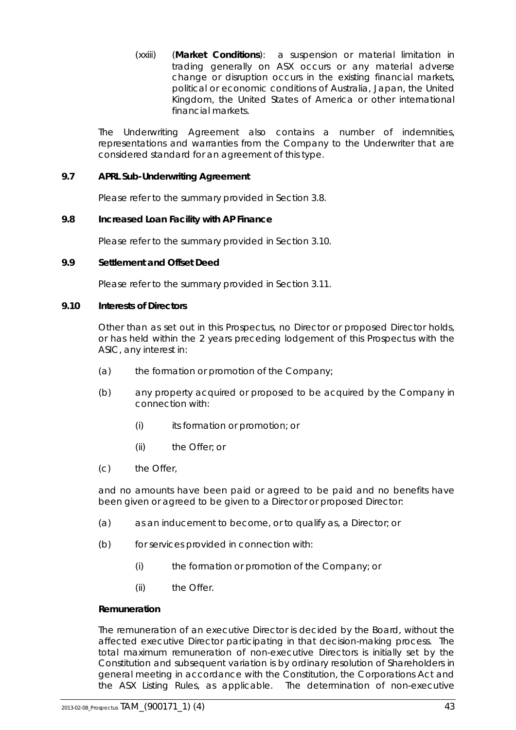(xxiii) (**Market Conditions**): a suspension or material limitation in trading generally on ASX occurs or any material adverse change or disruption occurs in the existing financial markets, political or economic conditions of Australia, Japan, the United Kingdom, the United States of America or other international financial markets.

The Underwriting Agreement also contains a number of indemnities, representations and warranties from the Company to the Underwriter that are considered standard for an agreement of this type.

### **9.7 APRL Sub-Underwriting Agreement**

Please refer to the summary provided in Section [3.8.](#page-9-1)

### **9.8 Increased Loan Facility with AP Finance**

Please refer to the summary provided in Section [3.10.](#page-11-0)

### **9.9 Settlement and Offset Deed**

Please refer to the summary provided in Section [3.11.](#page-12-1)

### **9.10 Interests of Directors**

Other than as set out in this Prospectus, no Director or proposed Director holds, or has held within the 2 years preceding lodgement of this Prospectus with the ASIC, any interest in:

- (a) the formation or promotion of the Company;
- (b) any property acquired or proposed to be acquired by the Company in connection with:
	- (i) its formation or promotion; or
	- (ii) the Offer; or
- (c) the Offer,

and no amounts have been paid or agreed to be paid and no benefits have been given or agreed to be given to a Director or proposed Director:

- (a) as an inducement to become, or to qualify as, a Director; or
- (b) for services provided in connection with:
	- (i) the formation or promotion of the Company; or
	- (ii) the Offer.

### *Remuneration*

The remuneration of an executive Director is decided by the Board, without the affected executive Director participating in that decision-making process. The total maximum remuneration of non-executive Directors is initially set by the Constitution and subsequent variation is by ordinary resolution of Shareholders in general meeting in accordance with the Constitution, the Corporations Act and the ASX Listing Rules, as applicable. The determination of non-executive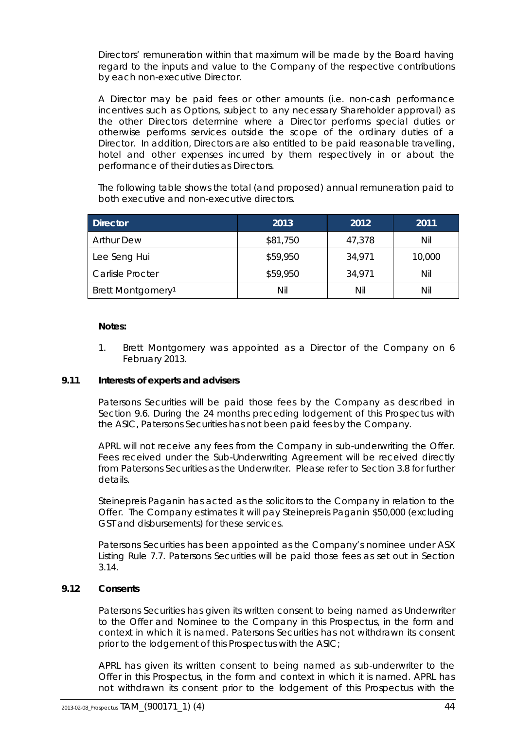Directors' remuneration within that maximum will be made by the Board having regard to the inputs and value to the Company of the respective contributions by each non-executive Director.

A Director may be paid fees or other amounts (i.e. non-cash performance incentives such as Options, subject to any necessary Shareholder approval) as the other Directors determine where a Director performs special duties or otherwise performs services outside the scope of the ordinary duties of a Director. In addition, Directors are also entitled to be paid reasonable travelling, hotel and other expenses incurred by them respectively in or about the performance of their duties as Directors.

The following table shows the total (and proposed) annual remuneration paid to both executive and non-executive directors.

| <b>Director</b>               | 2013     | 2012   | 2011   |
|-------------------------------|----------|--------|--------|
| <b>Arthur Dew</b>             | \$81,750 | 47,378 | Nil    |
| Lee Seng Hui                  | \$59,950 | 34,971 | 10,000 |
| Carlisle Procter              | \$59,950 | 34,971 | Nil    |
| Brett Montgomery <sup>1</sup> | Nil      | Nil    | Nil    |

#### **Notes:**

1. Brett Montgomery was appointed as a Director of the Company on 6 February 2013.

### **9.11 Interests of experts and advisers**

Patersons Securities will be paid those fees by the Company as described in Section [9.6.](#page-39-0) During the 24 months preceding lodgement of this Prospectus with the ASIC, Patersons Securities has not been paid fees by the Company.

APRL will not receive any fees from the Company in sub-underwriting the Offer. Fees received under the Sub-Underwriting Agreement will be received directly from Patersons Securities as the Underwriter. Please refer to Section [3.8](#page-9-1) for further details.

Steinepreis Paganin has acted as the solicitors to the Company in relation to the Offer. The Company estimates it will pay Steinepreis Paganin \$50,000 (excluding GST and disbursements) for these services.

Patersons Securities has been appointed as the Company's nominee under ASX Listing Rule 7.7. Patersons Securities will be paid those fees as set out in Section [3.14.](#page-13-0)

### **9.12 Consents**

Patersons Securities has given its written consent to being named as Underwriter to the Offer and Nominee to the Company in this Prospectus, in the form and context in which it is named. Patersons Securities has not withdrawn its consent prior to the lodgement of this Prospectus with the ASIC;

APRL has given its written consent to being named as sub-underwriter to the Offer in this Prospectus, in the form and context in which it is named. APRL has not withdrawn its consent prior to the lodgement of this Prospectus with the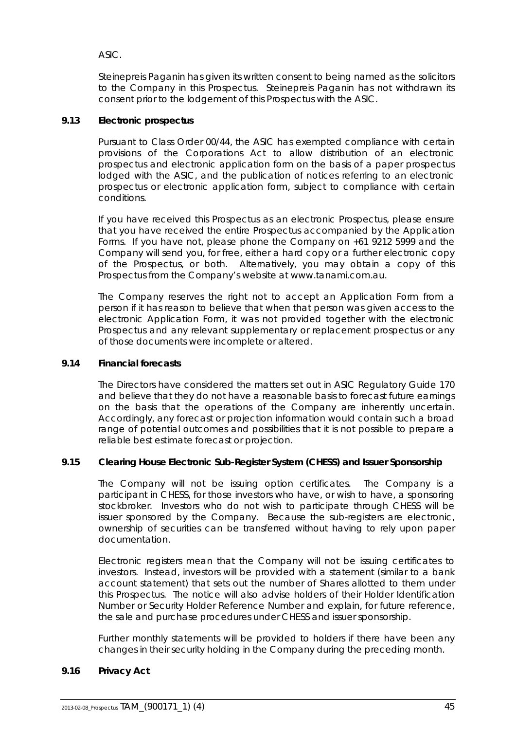ASIC.

Steinepreis Paganin has given its written consent to being named as the solicitors to the Company in this Prospectus. Steinepreis Paganin has not withdrawn its consent prior to the lodgement of this Prospectus with the ASIC.

# **9.13 Electronic prospectus**

Pursuant to Class Order 00/44, the ASIC has exempted compliance with certain provisions of the Corporations Act to allow distribution of an electronic prospectus and electronic application form on the basis of a paper prospectus lodged with the ASIC, and the publication of notices referring to an electronic prospectus or electronic application form, subject to compliance with certain conditions.

If you have received this Prospectus as an electronic Prospectus, please ensure that you have received the entire Prospectus accompanied by the Application Forms. If you have not, please phone the Company on +61 9212 5999 and the Company will send you, for free, either a hard copy or a further electronic copy of the Prospectus, or both. Alternatively, you may obtain a copy of this Prospectus from the Company's website at www.tanami.com.au.

The Company reserves the right not to accept an Application Form from a person if it has reason to believe that when that person was given access to the electronic Application Form, it was not provided together with the electronic Prospectus and any relevant supplementary or replacement prospectus or any of those documents were incomplete or altered.

### **9.14 Financial forecasts**

The Directors have considered the matters set out in ASIC Regulatory Guide 170 and believe that they do not have a reasonable basis to forecast future earnings on the basis that the operations of the Company are inherently uncertain. Accordingly, any forecast or projection information would contain such a broad range of potential outcomes and possibilities that it is not possible to prepare a reliable best estimate forecast or projection.

### **9.15 Clearing House Electronic Sub-Register System (CHESS) and Issuer Sponsorship**

The Company will not be issuing option certificates. The Company is a participant in CHESS, for those investors who have, or wish to have, a sponsoring stockbroker. Investors who do not wish to participate through CHESS will be issuer sponsored by the Company. Because the sub-registers are electronic, ownership of securities can be transferred without having to rely upon paper documentation.

Electronic registers mean that the Company will not be issuing certificates to investors. Instead, investors will be provided with a statement (similar to a bank account statement) that sets out the number of Shares allotted to them under this Prospectus. The notice will also advise holders of their Holder Identification Number or Security Holder Reference Number and explain, for future reference, the sale and purchase procedures under CHESS and issuer sponsorship.

Further monthly statements will be provided to holders if there have been any changes in their security holding in the Company during the preceding month.

# **9.16 Privacy Act**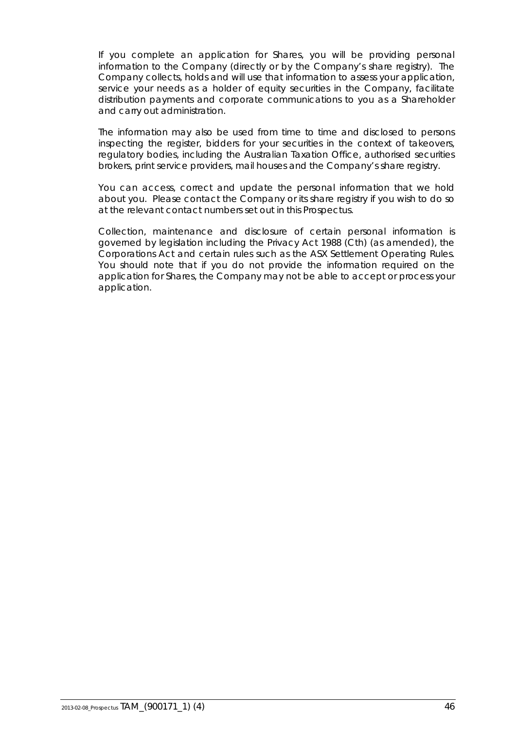If you complete an application for Shares, you will be providing personal information to the Company (directly or by the Company's share registry). The Company collects, holds and will use that information to assess your application, service your needs as a holder of equity securities in the Company, facilitate distribution payments and corporate communications to you as a Shareholder and carry out administration.

The information may also be used from time to time and disclosed to persons inspecting the register, bidders for your securities in the context of takeovers, regulatory bodies, including the Australian Taxation Office, authorised securities brokers, print service providers, mail houses and the Company's share registry.

You can access, correct and update the personal information that we hold about you. Please contact the Company or its share registry if you wish to do so at the relevant contact numbers set out in this Prospectus.

Collection, maintenance and disclosure of certain personal information is governed by legislation including the Privacy Act 1988 (Cth) (as amended), the Corporations Act and certain rules such as the ASX Settlement Operating Rules. You should note that if you do not provide the information required on the application for Shares, the Company may not be able to accept or process your application.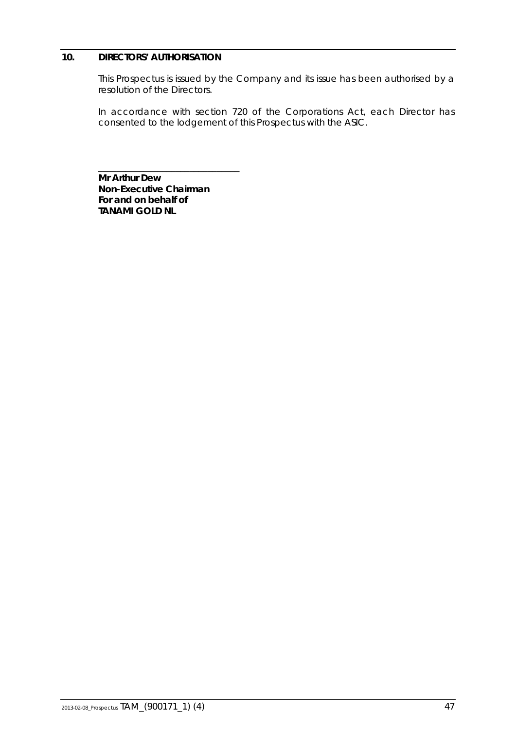# <span id="page-48-0"></span>**10. DIRECTORS' AUTHORISATION**

This Prospectus is issued by the Company and its issue has been authorised by a resolution of the Directors.

In accordance with section 720 of the Corporations Act, each Director has consented to the lodgement of this Prospectus with the ASIC.

**Mr Arthur Dew Non-Executive Chairman For and on behalf of TANAMI GOLD NL**

\_\_\_\_\_\_\_\_\_\_\_\_\_\_\_\_\_\_\_\_\_\_\_\_\_\_\_\_\_\_\_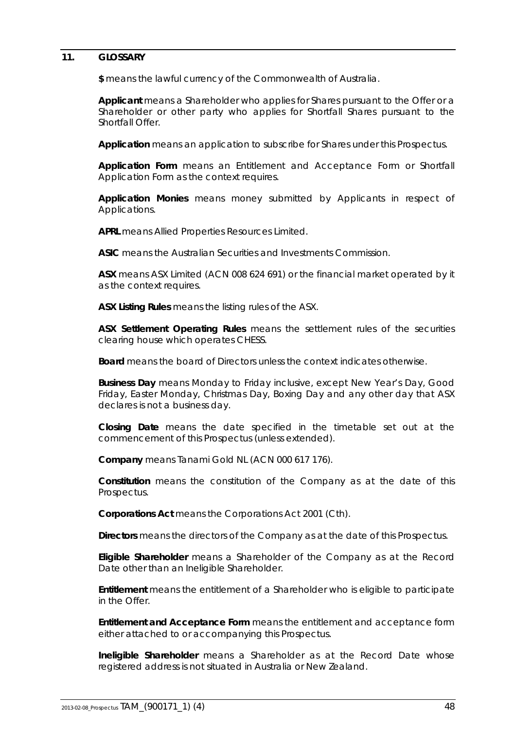### <span id="page-49-0"></span>**11. GLOSSARY**

**\$** means the lawful currency of the Commonwealth of Australia.

**Applicant** means a Shareholder who applies for Shares pursuant to the Offer or a Shareholder or other party who applies for Shortfall Shares pursuant to the Shortfall Offer.

**Application** means an application to subscribe for Shares under this Prospectus.

**Application Form** means an Entitlement and Acceptance Form or Shortfall Application Form as the context requires.

**Application Monies** means money submitted by Applicants in respect of Applications.

**APRL** means Allied Properties Resources Limited.

**ASIC** means the Australian Securities and Investments Commission.

**ASX** means ASX Limited (ACN 008 624 691) or the financial market operated by it as the context requires.

**ASX Listing Rules** means the listing rules of the ASX.

**ASX Settlement Operating Rules** means the settlement rules of the securities clearing house which operates CHESS.

**Board** means the board of Directors unless the context indicates otherwise.

**Business Day** means Monday to Friday inclusive, except New Year's Day, Good Friday, Easter Monday, Christmas Day, Boxing Day and any other day that ASX declares is not a business day.

**Closing Date** means the date specified in the timetable set out at the commencement of this Prospectus (unless extended).

**Company** means Tanami Gold NL (ACN 000 617 176).

**Constitution** means the constitution of the Company as at the date of this Prospectus.

**Corporations Act** means the *Corporations Act 2001* (Cth).

**Directors** means the directors of the Company as at the date of this Prospectus.

**Eligible Shareholder** means a Shareholder of the Company as at the Record Date other than an Ineligible Shareholder.

**Entitlement** means the entitlement of a Shareholder who is eligible to participate in the Offer.

**Entitlement and Acceptance Form** means the entitlement and acceptance form either attached to or accompanying this Prospectus.

**Ineligible Shareholder** means a Shareholder as at the Record Date whose registered address is not situated in Australia or New Zealand.